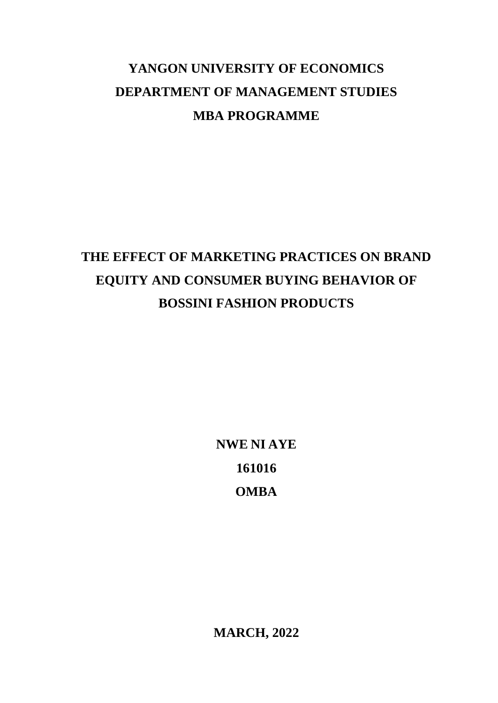## **YANGON UNIVERSITY OF ECONOMICS DEPARTMENT OF MANAGEMENT STUDIES MBA PROGRAMME**

## **THE EFFECT OF MARKETING PRACTICES ON BRAND EQUITY AND CONSUMER BUYING BEHAVIOR OF BOSSINI FASHION PRODUCTS**

**NWE NI AYE 161016 OMBA**

**MARCH, 2022**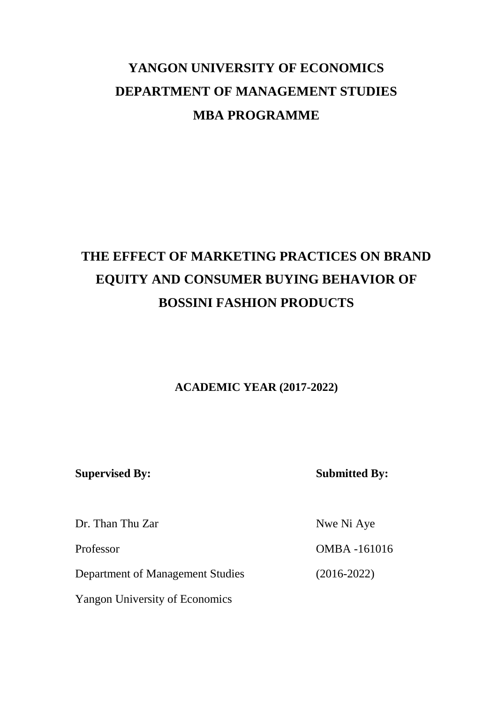## **YANGON UNIVERSITY OF ECONOMICS DEPARTMENT OF MANAGEMENT STUDIES MBA PROGRAMME**

## **THE EFFECT OF MARKETING PRACTICES ON BRAND EQUITY AND CONSUMER BUYING BEHAVIOR OF BOSSINI FASHION PRODUCTS**

## **ACADEMIC YEAR (2017-2022)**

**Supervised By: Submitted By:**

Dr. Than Thu Zar Nwe Ni Aye

Department of Management Studies (2016-2022)

Yangon University of Economics

Professor OMBA -161016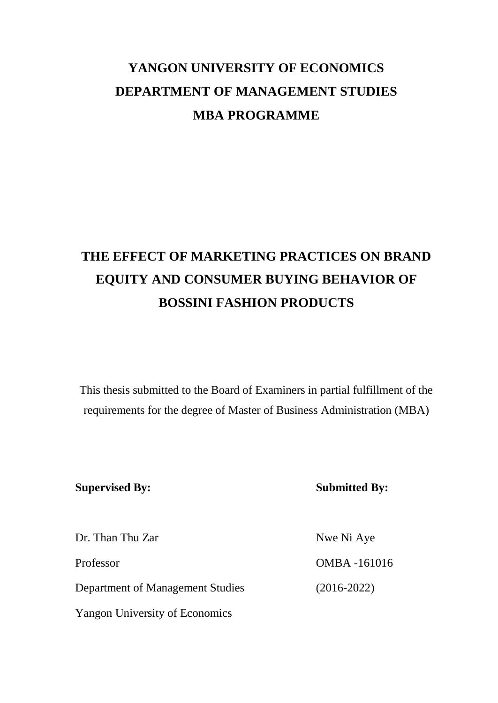## **YANGON UNIVERSITY OF ECONOMICS DEPARTMENT OF MANAGEMENT STUDIES MBA PROGRAMME**

## **THE EFFECT OF MARKETING PRACTICES ON BRAND EQUITY AND CONSUMER BUYING BEHAVIOR OF BOSSINI FASHION PRODUCTS**

This thesis submitted to the Board of Examiners in partial fulfillment of the requirements for the degree of Master of Business Administration (MBA)

### **Supervised By: Submitted By:**

| Dr. Than Thu Zar                      | Nwe Ni Aye         |
|---------------------------------------|--------------------|
| Professor                             | <b>OMBA-161016</b> |
| Department of Management Studies      | $(2016 - 2022)$    |
| <b>Yangon University of Economics</b> |                    |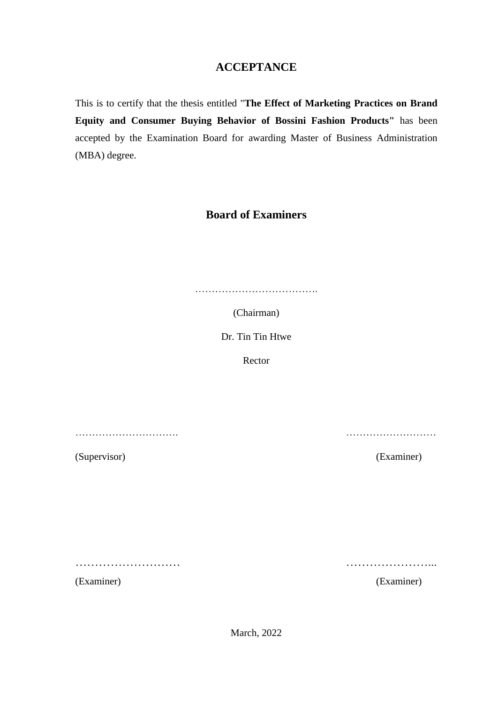## **ACCEPTANCE**

This is to certify that the thesis entitled "**The Effect of Marketing Practices on Brand Equity and Consumer Buying Behavior of Bossini Fashion Products"** has been accepted by the Examination Board for awarding Master of Business Administration (MBA) degree.

## **Board of Examiners**

…………………………………………

(Chairman)

Dr. Tin Tin Htwe

Rector

…………………………. ………………………

(Supervisor) (Examiner)

……………………… …………………...

(Examiner) (Examiner)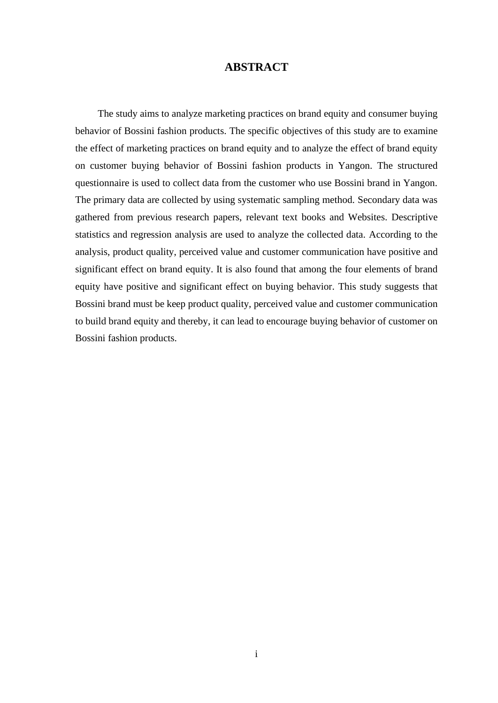### **ABSTRACT**

 The study aims to analyze marketing practices on brand equity and consumer buying behavior of Bossini fashion products. The specific objectives of this study are to examine the effect of marketing practices on brand equity and to analyze the effect of brand equity on customer buying behavior of Bossini fashion products in Yangon. The structured questionnaire is used to collect data from the customer who use Bossini brand in Yangon. The primary data are collected by using systematic sampling method. Secondary data was gathered from previous research papers, relevant text books and Websites. Descriptive statistics and regression analysis are used to analyze the collected data. According to the analysis, product quality, perceived value and customer communication have positive and significant effect on brand equity. It is also found that among the four elements of brand equity have positive and significant effect on buying behavior. This study suggests that Bossini brand must be keep product quality, perceived value and customer communication to build brand equity and thereby, it can lead to encourage buying behavior of customer on Bossini fashion products.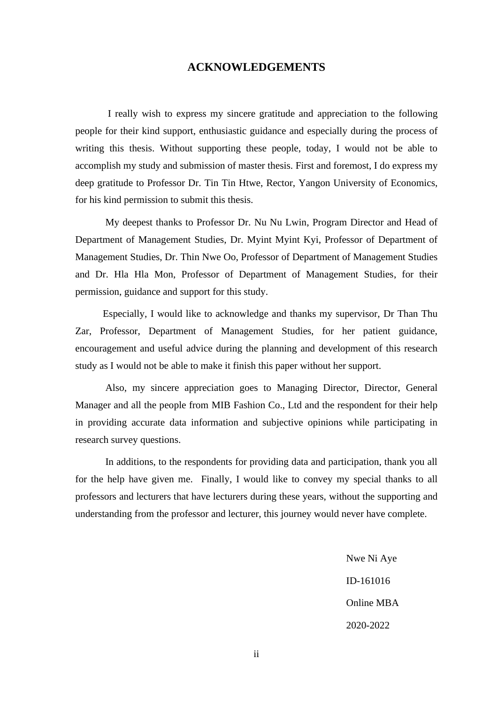#### **ACKNOWLEDGEMENTS**

I really wish to express my sincere gratitude and appreciation to the following people for their kind support, enthusiastic guidance and especially during the process of writing this thesis. Without supporting these people, today, I would not be able to accomplish my study and submission of master thesis. First and foremost, I do express my deep gratitude to Professor Dr. Tin Tin Htwe, Rector, Yangon University of Economics, for his kind permission to submit this thesis.

My deepest thanks to Professor Dr. Nu Nu Lwin, Program Director and Head of Department of Management Studies, Dr. Myint Myint Kyi, Professor of Department of Management Studies, Dr. Thin Nwe Oo, Professor of Department of Management Studies and Dr. Hla Hla Mon, Professor of Department of Management Studies, for their permission, guidance and support for this study.

 Especially, I would like to acknowledge and thanks my supervisor, Dr Than Thu Zar, Professor, Department of Management Studies, for her patient guidance, encouragement and useful advice during the planning and development of this research study as I would not be able to make it finish this paper without her support.

Also, my sincere appreciation goes to Managing Director, Director, General Manager and all the people from MIB Fashion Co., Ltd and the respondent for their help in providing accurate data information and subjective opinions while participating in research survey questions.

In additions, to the respondents for providing data and participation, thank you all for the help have given me. Finally, I would like to convey my special thanks to all professors and lecturers that have lecturers during these years, without the supporting and understanding from the professor and lecturer, this journey would never have complete.

> Nwe Ni Aye ID-161016 Online MBA 2020-2022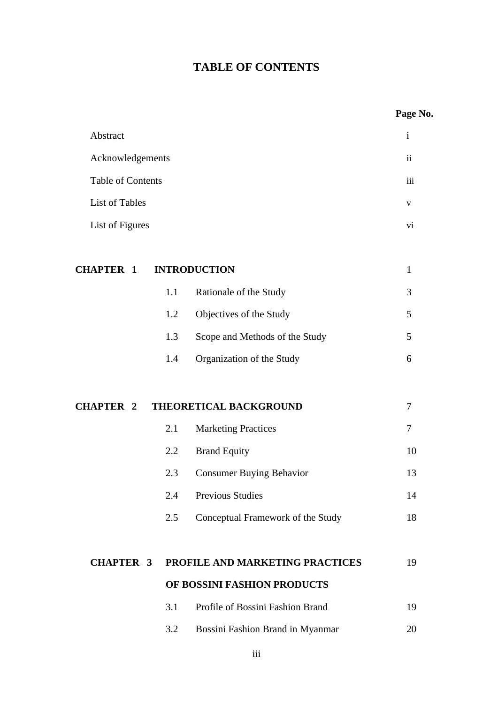## **TABLE OF CONTENTS**

|                   |     |                                   | Page No.                 |
|-------------------|-----|-----------------------------------|--------------------------|
| Abstract          |     |                                   | $\mathbf{i}$             |
| Acknowledgements  |     |                                   | $\overline{\textbf{ii}}$ |
| Table of Contents |     |                                   | iii                      |
| List of Tables    |     |                                   | $\mathbf{V}$             |
| List of Figures   |     |                                   | vi                       |
| <b>CHAPTER 1</b>  |     | <b>INTRODUCTION</b>               | $\mathbf{1}$             |
|                   | 1.1 | Rationale of the Study            | 3                        |
|                   | 1.2 | Objectives of the Study           | 5                        |
|                   | 1.3 | Scope and Methods of the Study    | 5                        |
|                   | 1.4 | Organization of the Study         | 6                        |
| <b>CHAPTER 2</b>  |     | THEORETICAL BACKGROUND            | 7                        |
|                   | 2.1 | <b>Marketing Practices</b>        | 7                        |
|                   | 2.2 | <b>Brand Equity</b>               | 10                       |
|                   | 2.3 | <b>Consumer Buying Behavior</b>   | 13                       |
|                   | 2.4 | <b>Previous Studies</b>           | 14                       |
|                   | 2.5 | Conceptual Framework of the Study | 18                       |
| <b>CHAPTER 3</b>  |     | PROFILE AND MARKETING PRACTICES   | 19                       |
|                   |     | OF BOSSINI FASHION PRODUCTS       |                          |
|                   | 3.1 | Profile of Bossini Fashion Brand  | 19                       |
|                   | 3.2 | Bossini Fashion Brand in Myanmar  | 20                       |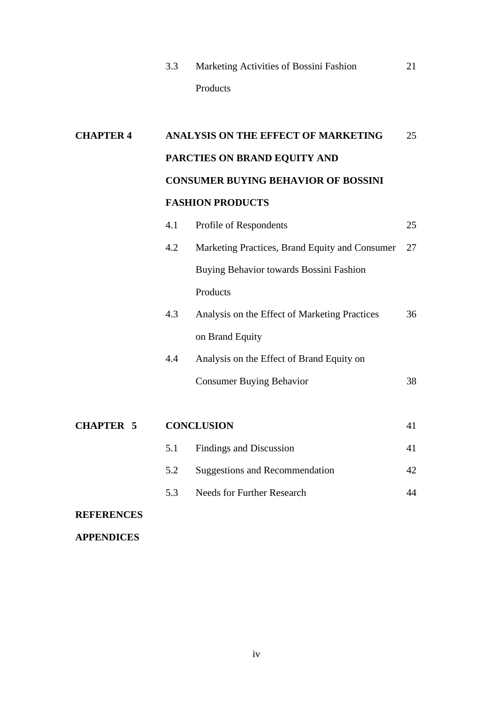|  | Marketing Activities of Bossini Fashion |  |
|--|-----------------------------------------|--|
|  | <b>Products</b>                         |  |

# **CHAPTER 4 ANALYSIS ON THE EFFECT OF MARKETING** 25 **PARCTIES ON BRAND EQUITY AND CONSUMER BUYING BEHAVIOR OF BOSSINI FASHION PRODUCTS** 4.1 Profile of Respondents 25 4.2 Marketing Practices, Brand Equity and Consumer 27 Buying Behavior towards Bossini Fashion Products 4.3 Analysis on the Effect of Marketing Practices 36 on Brand Equity 4.4 Analysis on the Effect of Brand Equity on Consumer Buying Behavior 38 **CHAPTER 5 CONCLUSION** 41

|  | 5.1 Findings and Discussion    |  |
|--|--------------------------------|--|
|  | Suggestions and Recommendation |  |

5.3 Needs for Further Research 44

### **REFERENCES**

**APPENDICES**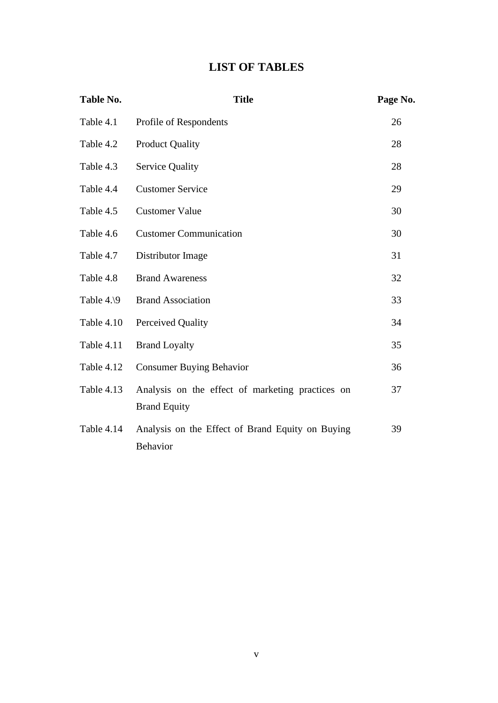## **LIST OF TABLES**

| Table No.              | <b>Title</b>                                     | Page No. |
|------------------------|--------------------------------------------------|----------|
| Table 4.1              | Profile of Respondents                           | 26       |
| Table 4.2              | <b>Product Quality</b>                           | 28       |
| Table 4.3              | <b>Service Quality</b>                           | 28       |
| Table 4.4              | <b>Customer Service</b>                          | 29       |
| Table 4.5              | <b>Customer Value</b>                            | 30       |
| Table 4.6              | <b>Customer Communication</b>                    | 30       |
| Table 4.7              | Distributor Image                                | 31       |
| Table 4.8              | <b>Brand Awareness</b>                           | 32       |
| Table $4.\backslash 9$ | <b>Brand Association</b>                         | 33       |
| Table 4.10             | Perceived Quality                                | 34       |
| Table 4.11             | <b>Brand Loyalty</b>                             | 35       |
| Table 4.12             | <b>Consumer Buying Behavior</b>                  | 36       |
| Table 4.13             | Analysis on the effect of marketing practices on | 37       |
|                        | <b>Brand Equity</b>                              |          |
| Table 4.14             | Analysis on the Effect of Brand Equity on Buying | 39       |
|                        | <b>Behavior</b>                                  |          |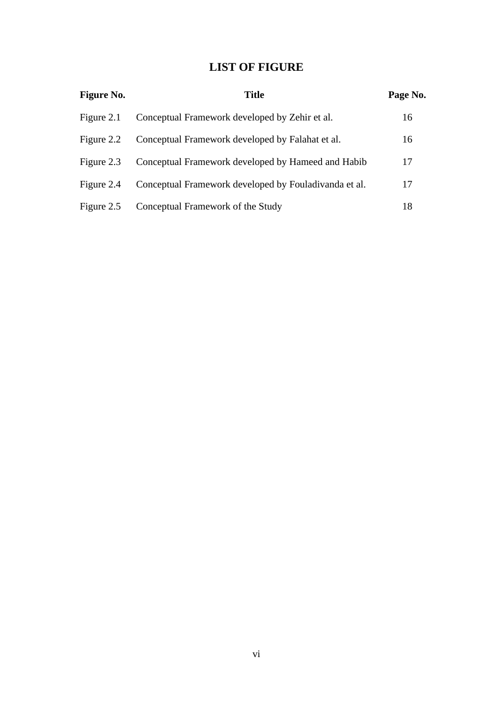## **LIST OF FIGURE**

| <b>Figure No.</b> | <b>Title</b>                                          | Page No. |
|-------------------|-------------------------------------------------------|----------|
| Figure 2.1        | Conceptual Framework developed by Zehir et al.        | 16       |
| Figure 2.2        | Conceptual Framework developed by Falahat et al.      | 16       |
| Figure 2.3        | Conceptual Framework developed by Hameed and Habib    | 17       |
| Figure 2.4        | Conceptual Framework developed by Fouladivanda et al. | 17       |
| Figure 2.5        | Conceptual Framework of the Study                     | 18       |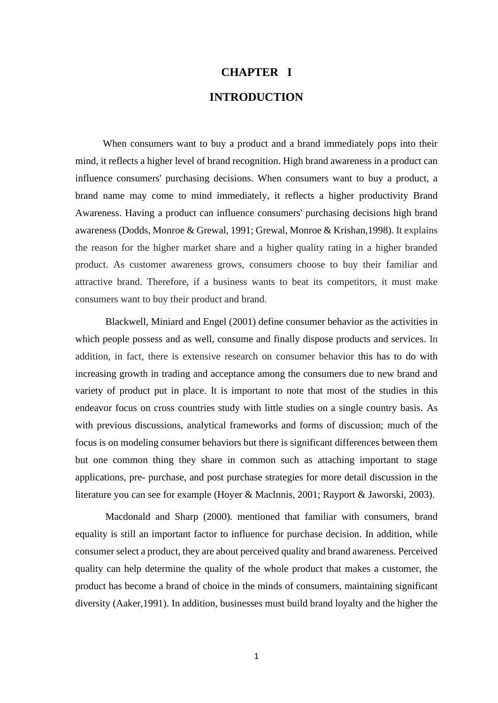## **CHAPTER I INTRODUCTION**

 When consumers want to buy a product and a brand immediately pops into their mind, it reflects a higher level of brand recognition. High brand awareness in a product can influence consumers' purchasing decisions. When consumers want to buy a product, a brand name may come to mind immediately, it reflects a higher productivity Brand Awareness. Having a product can influence consumers' purchasing decisions high brand awareness (Dodds, Monroe & Grewal, 1991; Grewal, Monroe & Krishan,1998). It explains the reason for the higher market share and a higher quality rating in a higher branded product. As customer awareness grows, consumers choose to buy their familiar and attractive brand. Therefore, if a business wants to beat its competitors, it must make consumers want to buy their product and brand.

Blackwell, Miniard and Engel (2001) define consumer behavior as the activities in which people possess and as well, consume and finally dispose products and services. In addition, in fact, there is extensive research on consumer behavior this has to do with increasing growth in trading and acceptance among the consumers due to new brand and variety of product put in place. It is important to note that most of the studies in this endeavor focus on cross countries study with little studies on a single country basis. As with previous discussions, analytical frameworks and forms of discussion; much of the focus is on modeling consumer behaviors but there is significant differences between them but one common thing they share in common such as attaching important to stage applications, pre- purchase, and post purchase strategies for more detail discussion in the literature you can see for example (Hoyer & Maclnnis, 2001; Rayport & Jaworski, 2003).

Macdonald and Sharp (2000). mentioned that familiar with consumers, brand equality is still an important factor to influence for purchase decision. In addition, while consumer select a product, they are about perceived quality and brand awareness. Perceived quality can help determine the quality of the whole product that makes a customer, the product has become a brand of choice in the minds of consumers, maintaining significant diversity (Aaker,1991). In addition, businesses must build brand loyalty and the higher the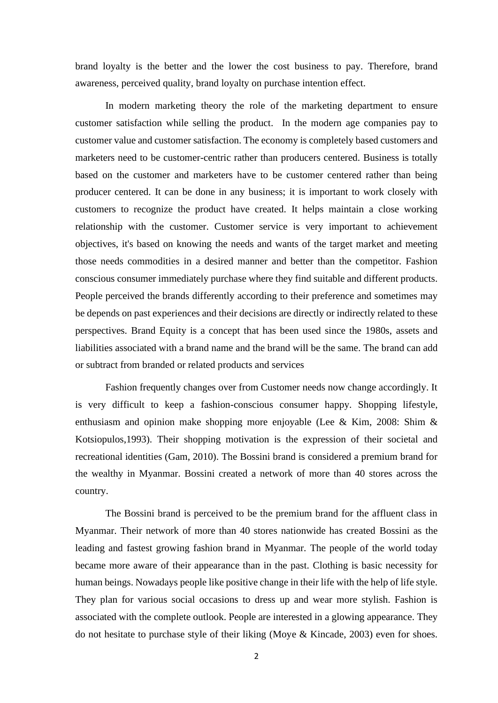brand loyalty is the better and the lower the cost business to pay. Therefore, brand awareness, perceived quality, brand loyalty on purchase intention effect.

 In modern marketing theory the role of the marketing department to ensure customer satisfaction while selling the product. In the modern age companies pay to customer value and customer satisfaction. The economy is completely based customers and marketers need to be customer-centric rather than producers centered. Business is totally based on the customer and marketers have to be customer centered rather than being producer centered. It can be done in any business; it is important to work closely with customers to recognize the product have created. It helps maintain a close working relationship with the customer. Customer service is very important to achievement objectives, it's based on knowing the needs and wants of the target market and meeting those needs commodities in a desired manner and better than the competitor. Fashion conscious consumer immediately purchase where they find suitable and different products. People perceived the brands differently according to their preference and sometimes may be depends on past experiences and their decisions are directly or indirectly related to these perspectives. Brand Equity is a concept that has been used since the 1980s, assets and liabilities associated with a brand name and the brand will be the same. The brand can add or subtract from branded or related products and services

Fashion frequently changes over from Customer needs now change accordingly. It is very difficult to keep a fashion-conscious consumer happy. Shopping lifestyle, enthusiasm and opinion make shopping more enjoyable (Lee & Kim, 2008: Shim & Kotsiopulos,1993). Their shopping motivation is the expression of their societal and recreational identities (Gam, 2010). The Bossini brand is considered a premium brand for the wealthy in Myanmar. Bossini created a network of more than 40 stores across the country.

The Bossini brand is perceived to be the premium brand for the affluent class in Myanmar. Their network of more than 40 stores nationwide has created Bossini as the leading and fastest growing fashion brand in Myanmar. The people of the world today became more aware of their appearance than in the past. Clothing is basic necessity for human beings. Nowadays people like positive change in their life with the help of life style. They plan for various social occasions to dress up and wear more stylish. Fashion is associated with the complete outlook. People are interested in a glowing appearance. They do not hesitate to purchase style of their liking (Moye & Kincade, 2003) even for shoes.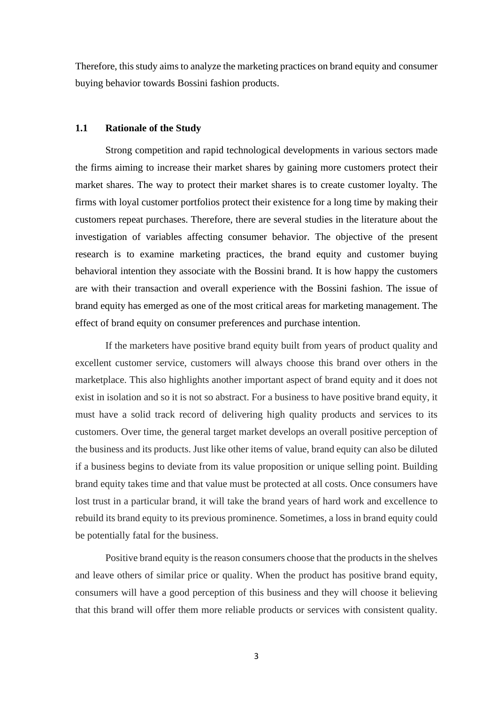Therefore, this study aims to analyze the marketing practices on brand equity and consumer buying behavior towards Bossini fashion products.

#### **1.1 Rationale of the Study**

 Strong competition and rapid technological developments in various sectors made the firms aiming to increase their market shares by gaining more customers protect their market shares. The way to protect their market shares is to create customer loyalty. The firms with loyal customer portfolios protect their existence for a long time by making their customers repeat purchases. Therefore, there are several studies in the literature about the investigation of variables affecting consumer behavior. The objective of the present research is to examine marketing practices, the brand equity and customer buying behavioral intention they associate with the Bossini brand. It is how happy the customers are with their transaction and overall experience with the Bossini fashion. The issue of brand equity has emerged as one of the most critical areas for marketing management. The effect of brand equity on consumer preferences and purchase intention.

 If the marketers have positive brand equity built from years of product quality and excellent customer service, customers will always choose this brand over others in the marketplace. This also highlights another important aspect of brand equity and it does not exist in isolation and so it is not so abstract. For a business to have positive brand equity, it must have a solid track record of delivering high quality products and services to its customers. Over time, the general target market develops an overall positive perception of the business and its products. Just like other items of value, brand equity can also be diluted if a business begins to deviate from its value proposition or unique selling point. Building brand equity takes time and that value must be protected at all costs. Once consumers have lost trust in a particular brand, it will take the brand years of hard work and excellence to rebuild its brand equity to its previous prominence. Sometimes, a loss in brand equity could be potentially fatal for the business.

 Positive brand equity is the reason consumers choose that the products in the shelves and leave others of similar price or quality. When the product has positive brand equity, consumers will have a good perception of this business and they will choose it believing that this brand will offer them more reliable products or services with consistent quality.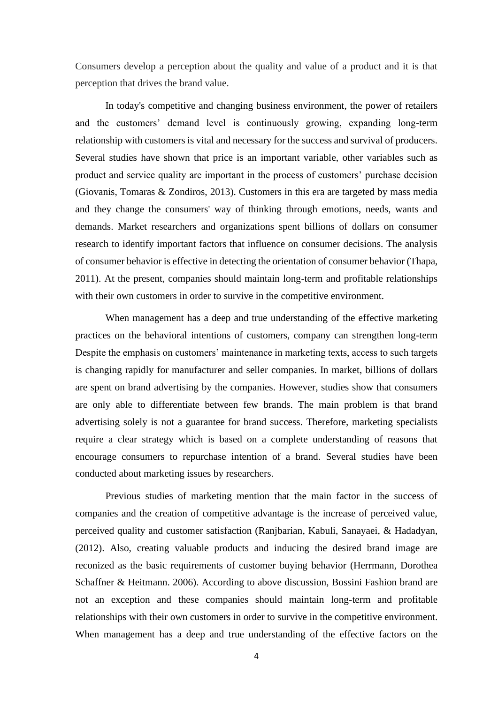Consumers develop a perception about the quality and value of a product and it is that perception that drives the brand value.

 In today's competitive and changing business environment, the power of retailers and the customers' demand level is continuously growing, expanding long-term relationship with customers is vital and necessary for the success and survival of producers. Several studies have shown that price is an important variable, other variables such as product and service quality are important in the process of customers' purchase decision (Giovanis, Tomaras & Zondiros, 2013). Customers in this era are targeted by mass media and they change the consumers' way of thinking through emotions, needs, wants and demands. Market researchers and organizations spent billions of dollars on consumer research to identify important factors that influence on consumer decisions. The analysis of consumer behavior is effective in detecting the orientation of consumer behavior (Thapa, 2011). At the present, companies should maintain long-term and profitable relationships with their own customers in order to survive in the competitive environment.

When management has a deep and true understanding of the effective marketing practices on the behavioral intentions of customers, company can strengthen long-term Despite the emphasis on customers' maintenance in marketing texts, access to such targets is changing rapidly for manufacturer and seller companies. In market, billions of dollars are spent on brand advertising by the companies. However, studies show that consumers are only able to differentiate between few brands. The main problem is that brand advertising solely is not a guarantee for brand success. Therefore, marketing specialists require a clear strategy which is based on a complete understanding of reasons that encourage consumers to repurchase intention of a brand. Several studies have been conducted about marketing issues by researchers.

Previous studies of marketing mention that the main factor in the success of companies and the creation of competitive advantage is the increase of perceived value, perceived quality and customer satisfaction (Ranjbarian, Kabuli, Sanayaei, & Hadadyan, (2012). Also, creating valuable products and inducing the desired brand image are reconized as the basic requirements of customer buying behavior (Herrmann, Dorothea Schaffner & Heitmann. 2006). According to above discussion, Bossini Fashion brand are not an exception and these companies should maintain long-term and profitable relationships with their own customers in order to survive in the competitive environment. When management has a deep and true understanding of the effective factors on the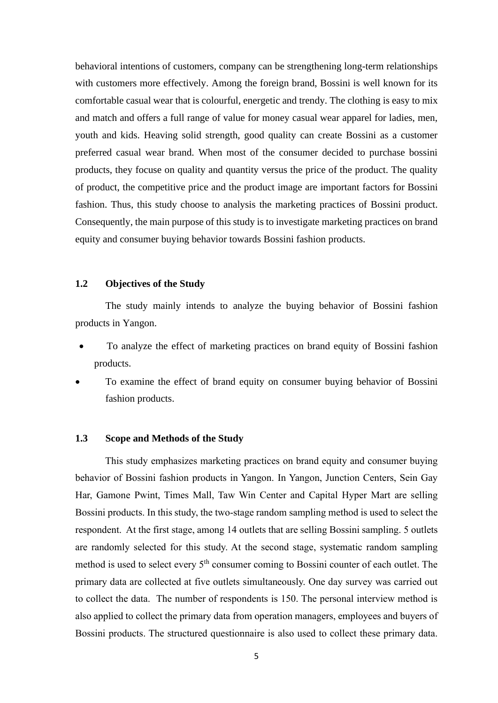behavioral intentions of customers, company can be strengthening long-term relationships with customers more effectively. Among the foreign brand, Bossini is well known for its comfortable casual wear that is colourful, energetic and trendy. The clothing is easy to mix and match and offers a full range of value for money casual wear apparel for ladies, men, youth and kids. Heaving solid strength, good quality can create Bossini as a customer preferred casual wear brand. When most of the consumer decided to purchase bossini products, they focuse on quality and quantity versus the price of the product. The quality of product, the competitive price and the product image are important factors for Bossini fashion. Thus, this study choose to analysis the marketing practices of Bossini product. Consequently, the main purpose of this study is to investigate marketing practices on brand equity and consumer buying behavior towards Bossini fashion products.

#### **1.2 Objectives of the Study**

 The study mainly intends to analyze the buying behavior of Bossini fashion products in Yangon.

- To analyze the effect of marketing practices on brand equity of Bossini fashion products.
- To examine the effect of brand equity on consumer buying behavior of Bossini fashion products.

#### **1.3 Scope and Methods of the Study**

 This study emphasizes marketing practices on brand equity and consumer buying behavior of Bossini fashion products in Yangon. In Yangon, Junction Centers, Sein Gay Har, Gamone Pwint, Times Mall, Taw Win Center and Capital Hyper Mart are selling Bossini products. In this study, the two-stage random sampling method is used to select the respondent. At the first stage, among 14 outlets that are selling Bossini sampling. 5 outlets are randomly selected for this study. At the second stage, systematic random sampling method is used to select every 5<sup>th</sup> consumer coming to Bossini counter of each outlet. The primary data are collected at five outlets simultaneously. One day survey was carried out to collect the data. The number of respondents is 150. The personal interview method is also applied to collect the primary data from operation managers, employees and buyers of Bossini products. The structured questionnaire is also used to collect these primary data.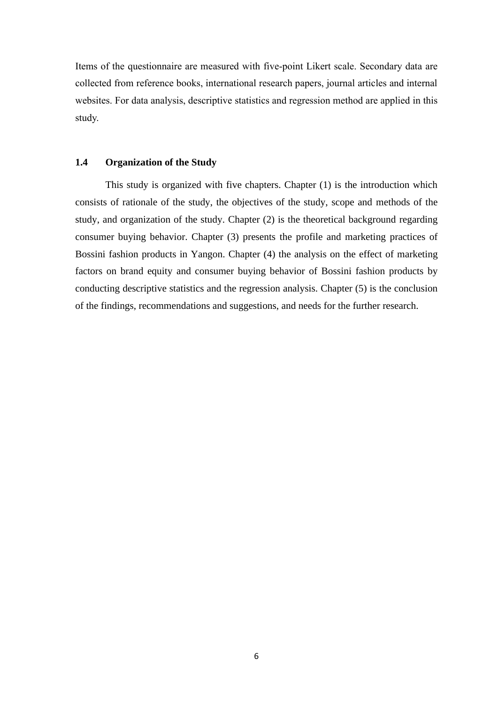Items of the questionnaire are measured with five-point Likert scale. Secondary data are collected from reference books, international research papers, journal articles and internal websites. For data analysis, descriptive statistics and regression method are applied in this study.

#### **1.4 Organization of the Study**

This study is organized with five chapters. Chapter (1) is the introduction which consists of rationale of the study, the objectives of the study, scope and methods of the study, and organization of the study. Chapter (2) is the theoretical background regarding consumer buying behavior. Chapter (3) presents the profile and marketing practices of Bossini fashion products in Yangon. Chapter (4) the analysis on the effect of marketing factors on brand equity and consumer buying behavior of Bossini fashion products by conducting descriptive statistics and the regression analysis. Chapter (5) is the conclusion of the findings, recommendations and suggestions, and needs for the further research.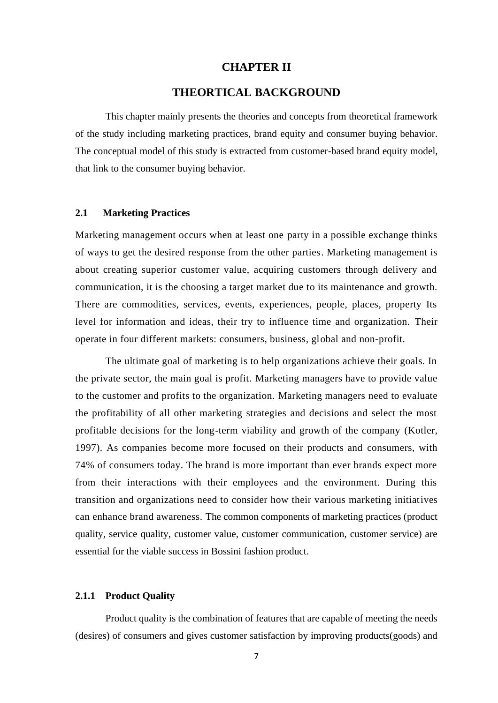#### **CHAPTER II**

#### **THEORTICAL BACKGROUND**

 This chapter mainly presents the theories and concepts from theoretical framework of the study including marketing practices, brand equity and consumer buying behavior. The conceptual model of this study is extracted from customer-based brand equity model, that link to the consumer buying behavior.

#### **2.1 Marketing Practices**

Marketing management occurs when at least one party in a possible exchange thinks of ways to get the desired response from the other parties. Marketing management is about creating superior customer value, acquiring customers through delivery and communication, it is the choosing a target market due to its maintenance and growth. There are commodities, services, events, experiences, people, places, property Its level for information and ideas, their try to influence time and organization. Their operate in four different markets: consumers, business, global and non-profit.

The ultimate goal of marketing is to help organizations achieve their goals. In the private sector, the main goal is profit. Marketing managers have to provide value to the customer and profits to the organization. Marketing managers need to evaluate the profitability of all other marketing strategies and decisions and select the most profitable decisions for the long-term viability and growth of the company (Kotler, 1997). As companies become more focused on their products and consumers, with 74% of consumers today. The brand is more important than ever brands expect more from their interactions with their employees and the environment. During this transition and organizations need to consider how their various marketing initiatives can enhance brand awareness. The common components of marketing practices (product quality, service quality, customer value, customer communication, customer service) are essential for the viable success in Bossini fashion product.

#### **2.1.1 Product Quality**

Product quality is the combination of features that are capable of meeting the needs (desires) of consumers and gives customer satisfaction by improving products(goods) and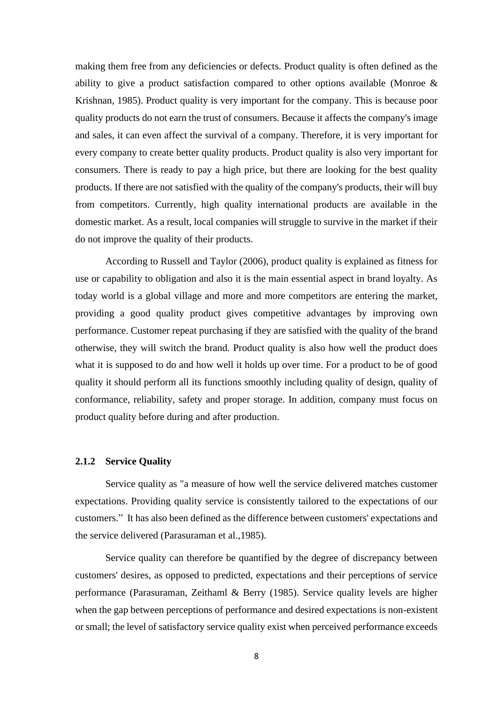making them free from any deficiencies or defects. Product quality is often defined as the ability to give a product satisfaction compared to other options available (Monroe & Krishnan, 1985). Product quality is very important for the company. This is because poor quality products do not earn the trust of consumers. Because it affects the company's image and sales, it can even affect the survival of a company. Therefore, it is very important for every company to create better quality products. Product quality is also very important for consumers. There is ready to pay a high price, but there are looking for the best quality products. If there are not satisfied with the quality of the company's products, their will buy from competitors. Currently, high quality international products are available in the domestic market. As a result, local companies will struggle to survive in the market if their do not improve the quality of their products.

 According to Russell and Taylor (2006), product quality is explained as fitness for use or capability to obligation and also it is the main essential aspect in brand loyalty. As today world is a global village and more and more competitors are entering the market, providing a good quality product gives competitive advantages by improving own performance. Customer repeat purchasing if they are satisfied with the quality of the brand otherwise, they will switch the brand. Product quality is also how well the product does what it is supposed to do and how well it holds up over time. For a product to be of good quality it should perform all its functions smoothly including quality of design, quality of conformance, reliability, safety and proper storage. In addition, company must focus on product quality before during and after production.

#### **2.1.2 Service Quality**

 Service quality as "a measure of how well the service delivered matches customer expectations. Providing quality service is consistently tailored to the expectations of our customers." It has also been defined as the difference between customers' expectations and the service delivered (Parasuraman et al.,1985).

 Service quality can therefore be quantified by the degree of discrepancy between customers' desires, as opposed to predicted, expectations and their perceptions of service performance (Parasuraman, Zeithaml & Berry (1985). Service quality levels are higher when the gap between perceptions of performance and desired expectations is non-existent or small; the level of satisfactory service quality exist when perceived performance exceeds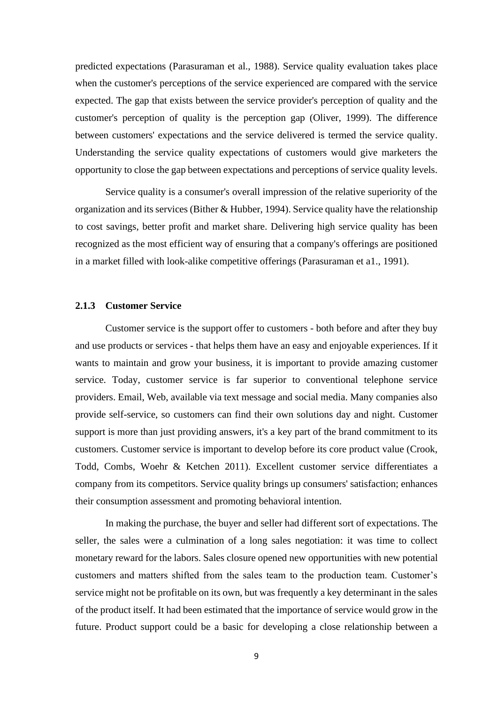predicted expectations (Parasuraman et al., 1988). Service quality evaluation takes place when the customer's perceptions of the service experienced are compared with the service expected. The gap that exists between the service provider's perception of quality and the customer's perception of quality is the perception gap (Oliver, 1999). The difference between customers' expectations and the service delivered is termed the service quality. Understanding the service quality expectations of customers would give marketers the opportunity to close the gap between expectations and perceptions of service quality levels.

 Service quality is a consumer's overall impression of the relative superiority of the organization and its services (Bither & Hubber, 1994). Service quality have the relationship to cost savings, better profit and market share. Delivering high service quality has been recognized as the most efficient way of ensuring that a company's offerings are positioned in a market filled with look-alike competitive offerings (Parasuraman et a1., 1991).

#### **2.1.3 Customer Service**

Customer service is the support offer to customers - both before and after they buy and use products or services - that helps them have an easy and enjoyable experiences. If it wants to maintain and grow your business, it is important to provide amazing customer service. Today, customer service is far superior to conventional telephone service providers. Email, Web, available via text message and social media. Many companies also provide self-service, so customers can find their own solutions day and night. Customer support is more than just providing answers, it's a key part of the brand commitment to its customers. Customer service is important to develop before its core product value (Crook, Todd, Combs, Woehr & Ketchen 2011). Excellent customer service differentiates a company from its competitors. Service quality brings up consumers' satisfaction; enhances their consumption assessment and promoting behavioral intention.

In making the purchase, the buyer and seller had different sort of expectations. The seller, the sales were a culmination of a long sales negotiation: it was time to collect monetary reward for the labors. Sales closure opened new opportunities with new potential customers and matters shifted from the sales team to the production team. Customer's service might not be profitable on its own, but was frequently a key determinant in the sales of the product itself. It had been estimated that the importance of service would grow in the future. Product support could be a basic for developing a close relationship between a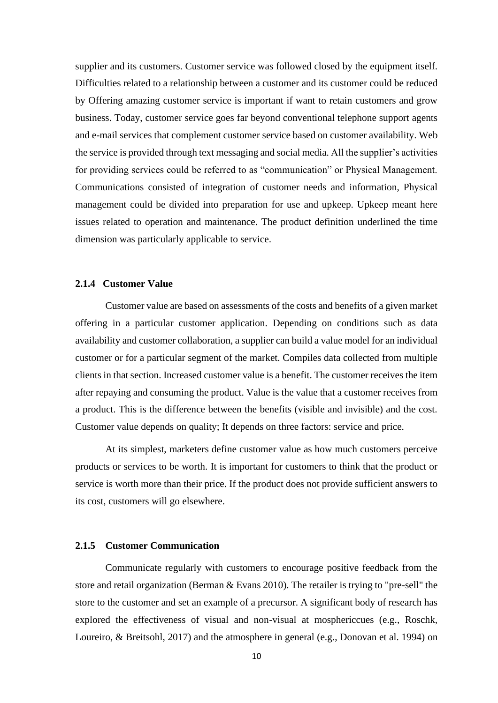supplier and its customers. Customer service was followed closed by the equipment itself. Difficulties related to a relationship between a customer and its customer could be reduced by Offering amazing customer service is important if want to retain customers and grow business. Today, customer service goes far beyond conventional telephone support agents and e-mail services that complement customer service based on customer availability. Web the service is provided through text messaging and social media. All the supplier's activities for providing services could be referred to as "communication" or Physical Management. Communications consisted of integration of customer needs and information, Physical management could be divided into preparation for use and upkeep. Upkeep meant here issues related to operation and maintenance. The product definition underlined the time dimension was particularly applicable to service.

#### **2.1.4 Customer Value**

Customer value are based on assessments of the costs and benefits of a given market offering in a particular customer application. Depending on conditions such as data availability and customer collaboration, a supplier can build a value model for an individual customer or for a particular segment of the market. Compiles data collected from multiple clients in that section. Increased customer value is a benefit. The customer receives the item after repaying and consuming the product. Value is the value that a customer receives from a product. This is the difference between the benefits (visible and invisible) and the cost. Customer value depends on quality; It depends on three factors: service and price.

 At its simplest, marketers define customer value as how much customers perceive products or services to be worth. It is important for customers to think that the product or service is worth more than their price. If the product does not provide sufficient answers to its cost, customers will go elsewhere.

#### **2.1.5 Customer Communication**

 Communicate regularly with customers to encourage positive feedback from the store and retail organization (Berman & Evans 2010). The retailer is trying to "pre-sell" the store to the customer and set an example of a precursor. A significant body of research has explored the effectiveness of visual and non-visual at mosphericcues (e.g., Roschk, Loureiro, & Breitsohl, 2017) and the atmosphere in general (e.g., Donovan et al. 1994) on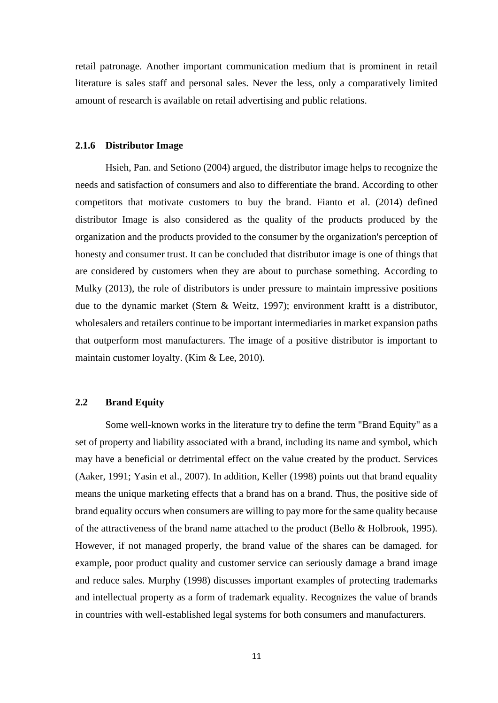retail patronage. Another important communication medium that is prominent in retail literature is sales staff and personal sales. Never the less, only a comparatively limited amount of research is available on retail advertising and public relations.

#### **2.1.6 Distributor Image**

 Hsieh, Pan. and Setiono (2004) argued, the distributor image helps to recognize the needs and satisfaction of consumers and also to differentiate the brand. According to other competitors that motivate customers to buy the brand. Fianto et al. (2014) defined distributor Image is also considered as the quality of the products produced by the organization and the products provided to the consumer by the organization's perception of honesty and consumer trust. It can be concluded that distributor image is one of things that are considered by customers when they are about to purchase something. According to Mulky (2013), the role of distributors is under pressure to maintain impressive positions due to the dynamic market (Stern & Weitz, 1997); environment kraftt is a distributor, wholesalers and retailers continue to be important intermediaries in market expansion paths that outperform most manufacturers. The image of a positive distributor is important to maintain customer loyalty. (Kim & Lee, 2010).

#### **2.2 Brand Equity**

 Some well-known works in the literature try to define the term "Brand Equity" as a set of property and liability associated with a brand, including its name and symbol, which may have a beneficial or detrimental effect on the value created by the product. Services (Aaker, 1991; Yasin et al., 2007). In addition, Keller (1998) points out that brand equality means the unique marketing effects that a brand has on a brand. Thus, the positive side of brand equality occurs when consumers are willing to pay more for the same quality because of the attractiveness of the brand name attached to the product (Bello & Holbrook, 1995). However, if not managed properly, the brand value of the shares can be damaged. for example, poor product quality and customer service can seriously damage a brand image and reduce sales. Murphy (1998) discusses important examples of protecting trademarks and intellectual property as a form of trademark equality. Recognizes the value of brands in countries with well-established legal systems for both consumers and manufacturers.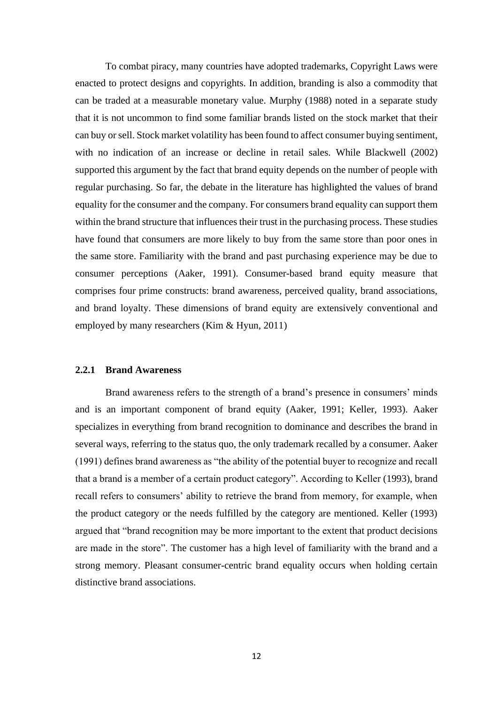To combat piracy, many countries have adopted trademarks, Copyright Laws were enacted to protect designs and copyrights. In addition, branding is also a commodity that can be traded at a measurable monetary value. Murphy (1988) noted in a separate study that it is not uncommon to find some familiar brands listed on the stock market that their can buy or sell. Stock market volatility has been found to affect consumer buying sentiment, with no indication of an increase or decline in retail sales. While Blackwell (2002) supported this argument by the fact that brand equity depends on the number of people with regular purchasing. So far, the debate in the literature has highlighted the values of brand equality for the consumer and the company. For consumers brand equality can support them within the brand structure that influences their trust in the purchasing process. These studies have found that consumers are more likely to buy from the same store than poor ones in the same store. Familiarity with the brand and past purchasing experience may be due to consumer perceptions (Aaker, 1991). Consumer-based brand equity measure that comprises four prime constructs: brand awareness, perceived quality, brand associations, and brand loyalty. These dimensions of brand equity are extensively conventional and employed by many researchers (Kim & Hyun, 2011)

#### **2.2.1 Brand Awareness**

 Brand awareness refers to the strength of a brand's presence in consumers' minds and is an important component of brand equity (Aaker, 1991; Keller, 1993). Aaker specializes in everything from brand recognition to dominance and describes the brand in several ways, referring to the status quo, the only trademark recalled by a consumer. Aaker (1991) defines brand awareness as "the ability of the potential buyer to recognize and recall that a brand is a member of a certain product category". According to Keller (1993), brand recall refers to consumers' ability to retrieve the brand from memory, for example, when the product category or the needs fulfilled by the category are mentioned. Keller (1993) argued that "brand recognition may be more important to the extent that product decisions are made in the store". The customer has a high level of familiarity with the brand and a strong memory. Pleasant consumer-centric brand equality occurs when holding certain distinctive brand associations.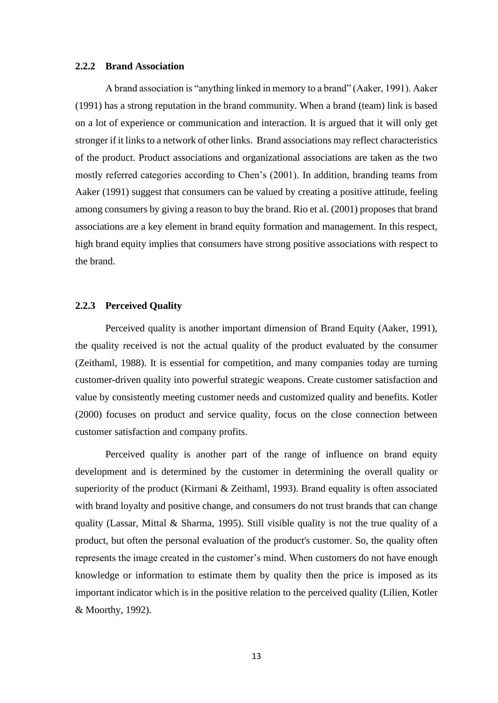#### **2.2.2 Brand Association**

 A brand association is "anything linked in memory to a brand" (Aaker, 1991). Aaker (1991) has a strong reputation in the brand community. When a brand (team) link is based on a lot of experience or communication and interaction. It is argued that it will only get stronger if it links to a network of other links. Brand associations may reflect characteristics of the product. Product associations and organizational associations are taken as the two mostly referred categories according to Chen's (2001). In addition, branding teams from Aaker (1991) suggest that consumers can be valued by creating a positive attitude, feeling among consumers by giving a reason to buy the brand. Rio et al. (2001) proposes that brand associations are a key element in brand equity formation and management. In this respect, high brand equity implies that consumers have strong positive associations with respect to the brand.

#### **2.2.3 Perceived Quality**

 Perceived quality is another important dimension of Brand Equity (Aaker, 1991), the quality received is not the actual quality of the product evaluated by the consumer (Zeithaml, 1988). It is essential for competition, and many companies today are turning customer-driven quality into powerful strategic weapons. Create customer satisfaction and value by consistently meeting customer needs and customized quality and benefits. Kotler (2000) focuses on product and service quality, focus on the close connection between customer satisfaction and company profits.

 Perceived quality is another part of the range of influence on brand equity development and is determined by the customer in determining the overall quality or superiority of the product (Kirmani & Zeithaml, 1993). Brand equality is often associated with brand loyalty and positive change, and consumers do not trust brands that can change quality (Lassar, Mittal & Sharma, 1995). Still visible quality is not the true quality of a product, but often the personal evaluation of the product's customer. So, the quality often represents the image created in the customer's mind. When customers do not have enough knowledge or information to estimate them by quality then the price is imposed as its important indicator which is in the positive relation to the perceived quality (Lilien, Kotler & Moorthy, 1992).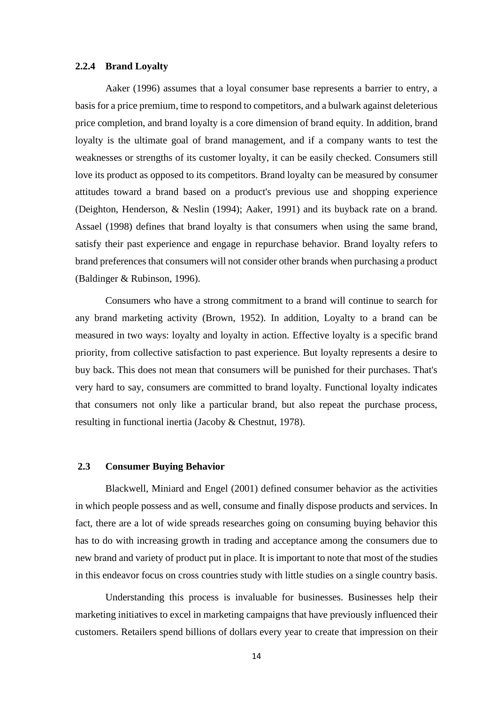#### **2.2.4 Brand Loyalty**

 Aaker (1996) assumes that a loyal consumer base represents a barrier to entry, a basis for a price premium, time to respond to competitors, and a bulwark against deleterious price completion, and brand loyalty is a core dimension of brand equity. In addition, brand loyalty is the ultimate goal of brand management, and if a company wants to test the weaknesses or strengths of its customer loyalty, it can be easily checked. Consumers still love its product as opposed to its competitors. Brand loyalty can be measured by consumer attitudes toward a brand based on a product's previous use and shopping experience (Deighton, Henderson, & Neslin (1994); Aaker, 1991) and its buyback rate on a brand. Assael (1998) defines that brand loyalty is that consumers when using the same brand, satisfy their past experience and engage in repurchase behavior. Brand loyalty refers to brand preferences that consumers will not consider other brands when purchasing a product (Baldinger & Rubinson, 1996).

 Consumers who have a strong commitment to a brand will continue to search for any brand marketing activity (Brown, 1952). In addition, Loyalty to a brand can be measured in two ways: loyalty and loyalty in action. Effective loyalty is a specific brand priority, from collective satisfaction to past experience. But loyalty represents a desire to buy back. This does not mean that consumers will be punished for their purchases. That's very hard to say, consumers are committed to brand loyalty. Functional loyalty indicates that consumers not only like a particular brand, but also repeat the purchase process, resulting in functional inertia (Jacoby & Chestnut, 1978).

#### **2.3 Consumer Buying Behavior**

 Blackwell, Miniard and Engel (2001) defined consumer behavior as the activities in which people possess and as well, consume and finally dispose products and services. In fact, there are a lot of wide spreads researches going on consuming buying behavior this has to do with increasing growth in trading and acceptance among the consumers due to new brand and variety of product put in place. It is important to note that most of the studies in this endeavor focus on cross countries study with little studies on a single country basis.

 Understanding this process is invaluable for businesses. Businesses help their marketing initiatives to excel in marketing campaigns that have previously influenced their customers. Retailers spend billions of dollars every year to create that impression on their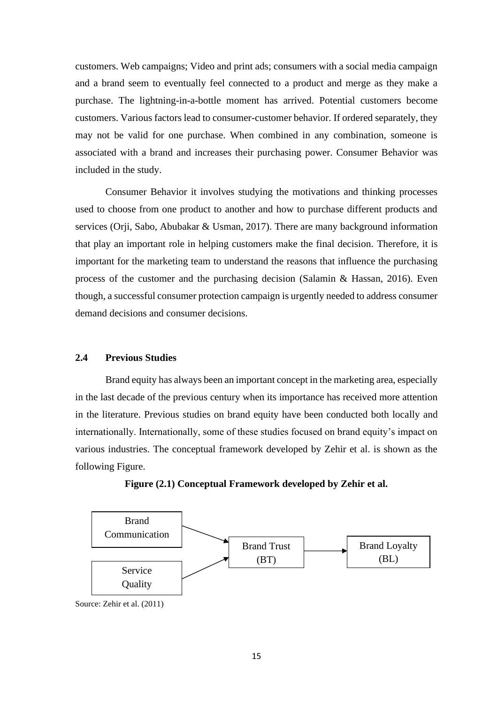customers. Web campaigns; Video and print ads; consumers with a social media campaign and a brand seem to eventually feel connected to a product and merge as they make a purchase. The lightning-in-a-bottle moment has arrived. Potential customers become customers. Various factors lead to consumer-customer behavior. If ordered separately, they may not be valid for one purchase. When combined in any combination, someone is associated with a brand and increases their purchasing power. Consumer Behavior was included in the study.

 Consumer Behavior it involves studying the motivations and thinking processes used to choose from one product to another and how to purchase different products and services (Orji, Sabo, Abubakar & Usman, 2017). There are many background information that play an important role in helping customers make the final decision. Therefore, it is important for the marketing team to understand the reasons that influence the purchasing process of the customer and the purchasing decision (Salamin & Hassan, 2016). Even though, a successful consumer protection campaign is urgently needed to address consumer demand decisions and consumer decisions.

#### **2.4 Previous Studies**

 Brand equity has always been an important concept in the marketing area, especially in the last decade of the previous century when its importance has received more attention in the literature. Previous studies on brand equity have been conducted both locally and internationally. Internationally, some of these studies focused on brand equity's impact on various industries. The conceptual framework developed by Zehir et al. is shown as the following Figure.





Source: Zehir et al. (2011)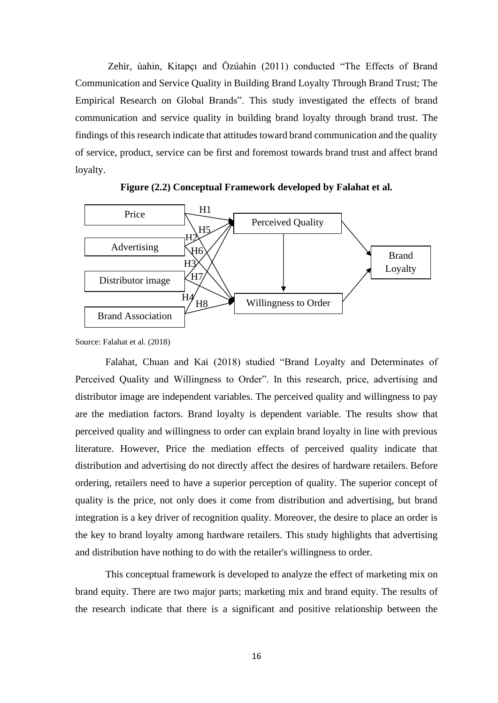Zehir, ùahin, Kitapçı and Özúahin (2011) conducted "The Effects of Brand Communication and Service Quality in Building Brand Loyalty Through Brand Trust; The Empirical Research on Global Brands". This study investigated the effects of brand communication and service quality in building brand loyalty through brand trust. The findings of this research indicate that attitudes toward brand communication and the quality of service, product, service can be first and foremost towards brand trust and affect brand loyalty.





Source: Falahat et al. (2018)

 Falahat, Chuan and Kai (2018) studied "Brand Loyalty and Determinates of Perceived Quality and Willingness to Order". In this research, price, advertising and distributor image are independent variables. The perceived quality and willingness to pay are the mediation factors. Brand loyalty is dependent variable. The results show that perceived quality and willingness to order can explain brand loyalty in line with previous literature. However, Price the mediation effects of perceived quality indicate that distribution and advertising do not directly affect the desires of hardware retailers. Before ordering, retailers need to have a superior perception of quality. The superior concept of quality is the price, not only does it come from distribution and advertising, but brand integration is a key driver of recognition quality. Moreover, the desire to place an order is the key to brand loyalty among hardware retailers. This study highlights that advertising and distribution have nothing to do with the retailer's willingness to order.

 This conceptual framework is developed to analyze the effect of marketing mix on brand equity. There are two major parts; marketing mix and brand equity. The results of the research indicate that there is a significant and positive relationship between the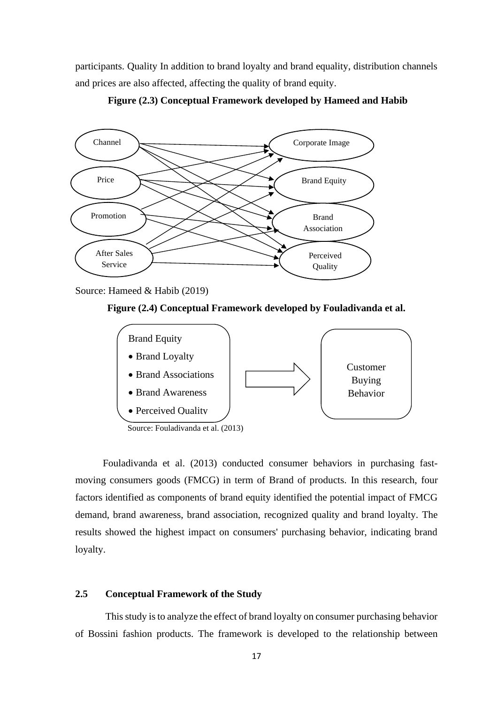participants. Quality In addition to brand loyalty and brand equality, distribution channels and prices are also affected, affecting the quality of brand equity.





Source: Hameed & Habib (2019)





 Fouladivanda et al. (2013) conducted consumer behaviors in purchasing fastmoving consumers goods (FMCG) in term of Brand of products. In this research, four factors identified as components of brand equity identified the potential impact of FMCG demand, brand awareness, brand association, recognized quality and brand loyalty. The results showed the highest impact on consumers' purchasing behavior, indicating brand loyalty.

#### **2.5 Conceptual Framework of the Study**

 This study is to analyze the effect of brand loyalty on consumer purchasing behavior of Bossini fashion products. The framework is developed to the relationship between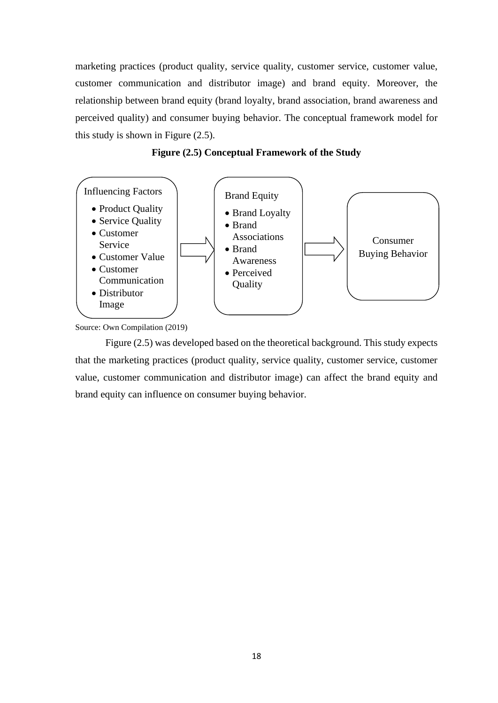marketing practices (product quality, service quality, customer service, customer value, customer communication and distributor image) and brand equity. Moreover, the relationship between brand equity (brand loyalty, brand association, brand awareness and perceived quality) and consumer buying behavior. The conceptual framework model for this study is shown in Figure (2.5).





 Figure (2.5) was developed based on the theoretical background. This study expects that the marketing practices (product quality, service quality, customer service, customer value, customer communication and distributor image) can affect the brand equity and brand equity can influence on consumer buying behavior.

Source: Own Compilation (2019)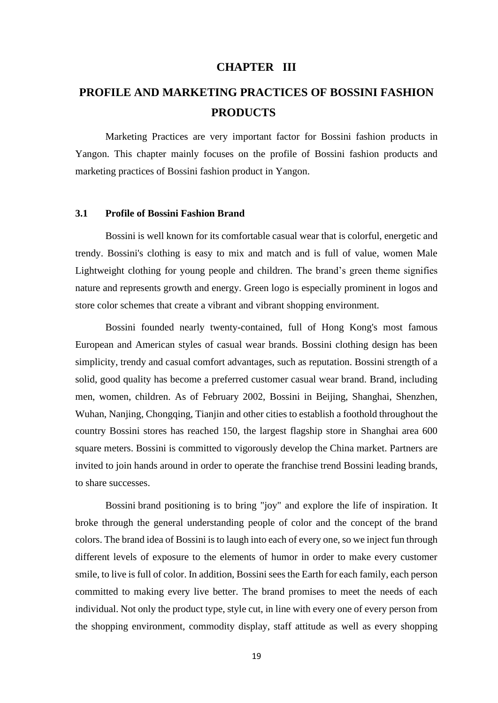#### **CHAPTER III**

## **PROFILE AND MARKETING PRACTICES OF BOSSINI FASHION PRODUCTS**

Marketing Practices are very important factor for Bossini fashion products in Yangon. This chapter mainly focuses on the profile of Bossini fashion products and marketing practices of Bossini fashion product in Yangon.

#### **3.1 Profile of Bossini Fashion Brand**

 Bossini is well known for its comfortable casual wear that is colorful, energetic and trendy. Bossini's clothing is easy to mix and match and is full of value, women Male Lightweight clothing for young people and children. The brand's green theme signifies nature and represents growth and energy. Green logo is especially prominent in logos and store color schemes that create a vibrant and vibrant shopping environment.

 Bossini founded nearly twenty-contained, full of Hong Kong's most famous European and American styles of casual wear brands. Bossini clothing design has been simplicity, trendy and casual comfort advantages, such as reputation. Bossini strength of a solid, good quality has become a preferred customer casual wear brand. Brand, including men, women, children. As of February 2002, Bossini in Beijing, Shanghai, Shenzhen, Wuhan, Nanjing, Chongqing, Tianjin and other cities to establish a foothold throughout the country Bossini stores has reached 150, the largest flagship store in Shanghai area 600 square meters. Bossini is committed to vigorously develop the China market. Partners are invited to join hands around in order to operate the franchise trend [Bossini](http://www.cbamd.com/e_brand/show.asp?bid=982) leading brands, to share successes.

 [Bossini](http://www.cbamd.com/e_brand/show.asp?bid=982) brand positioning is to bring "joy" and explore the life of inspiration. It broke through the general understanding people of color and the concept of the brand colors. The brand idea of Bossini is to laugh into each of every one, so we inject fun through different levels of exposure to the elements of humor in order to make every customer smile, to live is full of color. In addition, Bossini sees the Earth for each family, each person committed to making every live better. The brand promises to meet the needs of each individual. Not only the product type, style cut, in line with every one of every person from the shopping environment, commodity display, staff attitude as well as every shopping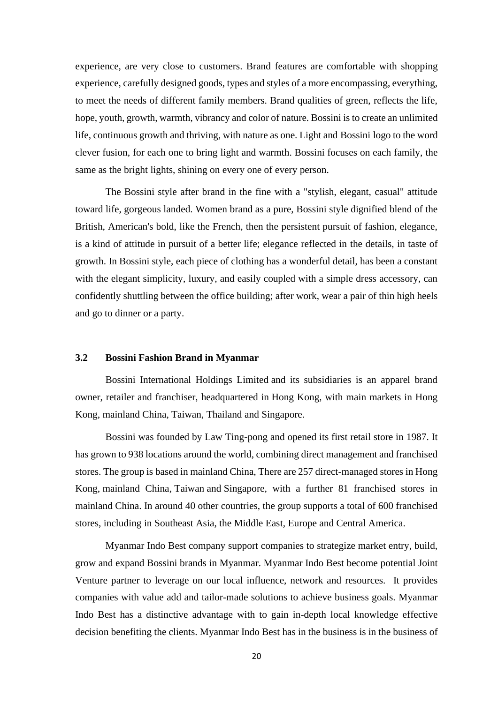experience, are very close to customers. Brand features are comfortable with shopping experience, carefully designed goods, types and styles of a more encompassing, everything, to meet the needs of different family members. Brand qualities of green, reflects the life, hope, youth, growth, warmth, vibrancy and color of nature. Bossini is to create an unlimited life, continuous growth and thriving, with nature as one. Light and [Bossini](http://www.cbamd.com/e_brand/show.asp?bid=982) logo to the word clever fusion, for each one to bring light and warmth. [Bossini](http://www.cbamd.com/e_brand/show.asp?bid=982) focuses on each family, the same as the bright lights, shining on every one of every person.

 The Bossini style after brand in the fine with a "stylish, elegant, casual" attitude toward life, gorgeous landed. Women brand as a pure, Bossini style dignified blend of the British, American's bold, like the French, then the persistent pursuit of fashion, elegance, is a kind of attitude in pursuit of a better life; elegance reflected in the details, in taste of growth. In Bossini style, each piece of clothing has a wonderful detail, has been a constant with the elegant simplicity, luxury, and easily coupled with a simple dress accessory, can confidently shuttling between the office building; after work, wear a pair of thin high heels and go to dinner or a party.

#### **3.2 Bossini Fashion Brand in Myanmar**

 Bossini International Holdings Limited and its subsidiaries is an apparel brand owner, retailer and franchiser, headquartered in [Hong Kong,](https://en.wikipedia.org/wiki/Hong_Kong) with main markets in Hong Kong, mainland China, Taiwan, Thailand and Singapore.

Bossini was founded by Law Ting-pong and opened its first retail store in 1987. It has grown to 938 locations around the world, combining direct management and franchised stores. The group is based in mainland China, There are 257 direct-managed stores in Hong Kong, [mainland China,](https://en.wikipedia.org/wiki/Mainland_China) [Taiwan](https://en.wikipedia.org/wiki/Taiwan) and [Singapore,](https://en.wikipedia.org/wiki/Singapore) with a further 81 franchised stores in mainland China. In around 40 other countries, the group supports a total of 600 franchised stores, including in [Southeast Asia,](https://en.wikipedia.org/wiki/Southeast_Asia) the [Middle East,](https://en.wikipedia.org/wiki/Middle_East) [Europe](https://en.wikipedia.org/wiki/Europe) and [Central America.](https://en.wikipedia.org/wiki/Central_America)

 Myanmar Indo Best company support companies to strategize market entry, build, grow and expand Bossini brands in Myanmar. Myanmar Indo Best become potential Joint Venture partner to leverage on our local influence, network and resources. It provides companies with value add and tailor-made solutions to achieve business goals. Myanmar Indo Best has a distinctive advantage with to gain in-depth local knowledge effective decision benefiting the clients. Myanmar Indo Best has in the business is in the business of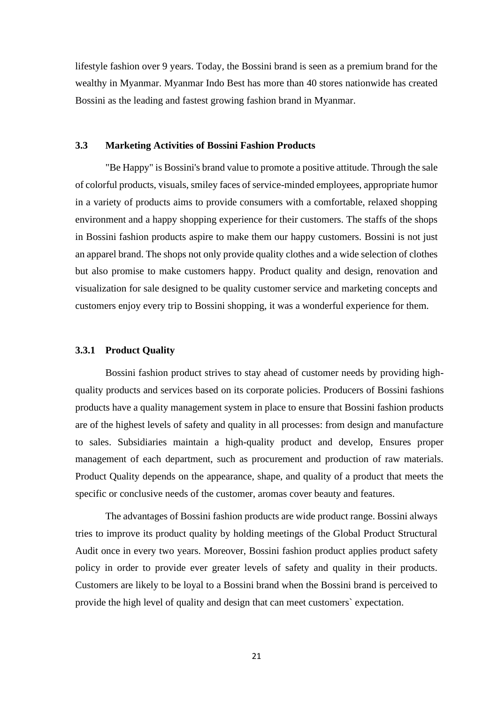lifestyle fashion over 9 years. Today, the Bossini brand is seen as a premium brand for the wealthy in Myanmar. Myanmar Indo Best has more than 40 stores nationwide has created Bossini as the leading and fastest growing fashion brand in Myanmar.

#### **3.3 Marketing Activities of Bossini Fashion Products**

"Be Happy" is Bossini's brand value to promote a positive attitude. Through the sale of colorful products, visuals, smiley faces of service-minded employees, appropriate humor in a variety of products aims to provide consumers with a comfortable, relaxed shopping environment and a happy shopping experience for their customers. The staffs of the shops in Bossini fashion products aspire to make them our happy customers. Bossini is not just an apparel brand. The shops not only provide quality clothes and a wide selection of clothes but also promise to make customers happy. Product quality and design, renovation and visualization for sale designed to be quality customer service and marketing concepts and customers enjoy every trip to Bossini shopping, it was a wonderful experience for them.

#### **3.3.1 Product Quality**

Bossini fashion product strives to stay ahead of customer needs by providing highquality products and services based on its corporate policies. Producers of Bossini fashions products have a quality management system in place to ensure that Bossini fashion products are of the highest levels of safety and quality in all processes: from design and manufacture to sales. Subsidiaries maintain a high-quality product and develop, Ensures proper management of each department, such as procurement and production of raw materials. Product Quality depends on the appearance, shape, and quality of a product that meets the specific or conclusive needs of the customer, aromas cover beauty and features.

The advantages of Bossini fashion products are wide product range. Bossini always tries to improve its product quality by holding meetings of the Global Product Structural Audit once in every two years. Moreover, Bossini fashion product applies product safety policy in order to provide ever greater levels of safety and quality in their products. Customers are likely to be loyal to a Bossini brand when the Bossini brand is perceived to provide the high level of quality and design that can meet customers` expectation.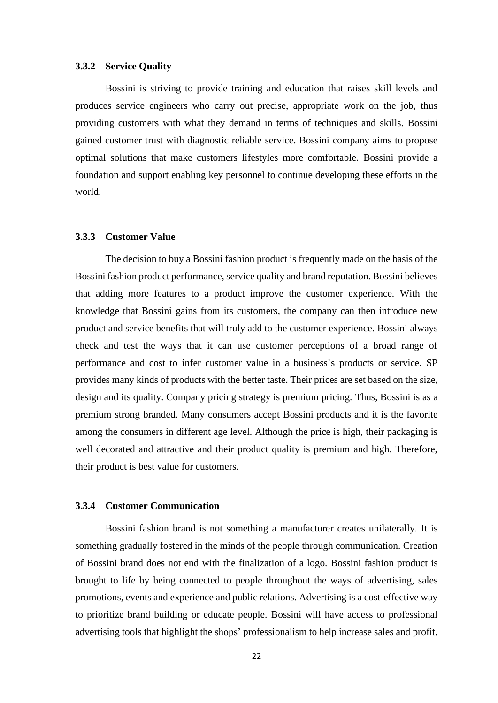#### **3.3.2 Service Quality**

Bossini is striving to provide training and education that raises skill levels and produces service engineers who carry out precise, appropriate work on the job, thus providing customers with what they demand in terms of techniques and skills. Bossini gained customer trust with diagnostic reliable service. Bossini company aims to propose optimal solutions that make customers lifestyles more comfortable. Bossini provide a foundation and support enabling key personnel to continue developing these efforts in the world.

#### **3.3.3 Customer Value**

The decision to buy a Bossini fashion product is frequently made on the basis of the Bossini fashion product performance, service quality and brand reputation. Bossini believes that adding more features to a product improve the customer experience. With the knowledge that Bossini gains from its customers, the company can then introduce new product and service benefits that will truly add to the customer experience. Bossini always check and test the ways that it can use customer perceptions of a broad range of performance and cost to infer customer value in a business`s products or service. SP provides many kinds of products with the better taste. Their prices are set based on the size, design and its quality. Company pricing strategy is premium pricing. Thus, Bossini is as a premium strong branded. Many consumers accept Bossini products and it is the favorite among the consumers in different age level. Although the price is high, their packaging is well decorated and attractive and their product quality is premium and high. Therefore, their product is best value for customers.

#### **3.3.4 Customer Communication**

Bossini fashion brand is not something a manufacturer creates unilaterally. It is something gradually fostered in the minds of the people through communication. Creation of Bossini brand does not end with the finalization of a logo. Bossini fashion product is brought to life by being connected to people throughout the ways of advertising, sales promotions, events and experience and public relations. Advertising is a cost-effective way to prioritize brand building or educate people. Bossini will have access to professional advertising tools that highlight the shops' professionalism to help increase sales and profit.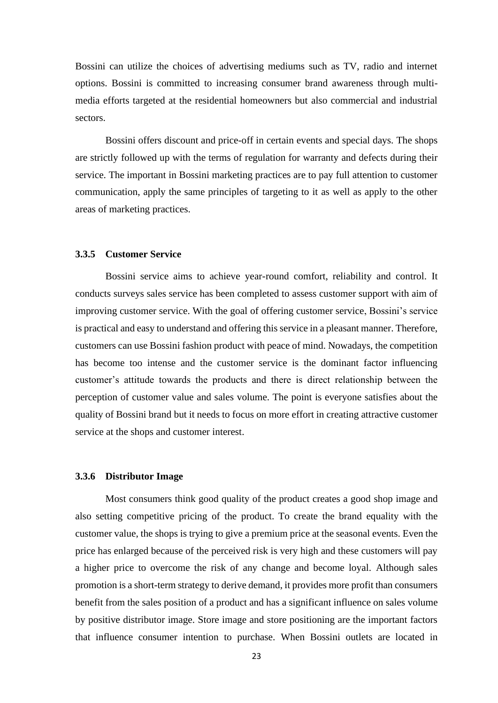Bossini can utilize the choices of advertising mediums such as TV, radio and internet options. Bossini is committed to increasing consumer brand awareness through multimedia efforts targeted at the residential homeowners but also commercial and industrial sectors.

Bossini offers discount and price-off in certain events and special days. The shops are strictly followed up with the terms of regulation for warranty and defects during their service. The important in Bossini marketing practices are to pay full attention to customer communication, apply the same principles of targeting to it as well as apply to the other areas of marketing practices.

#### **3.3.5 Customer Service**

Bossini service aims to achieve year-round comfort, reliability and control. It conducts surveys sales service has been completed to assess customer support with aim of improving customer service. With the goal of offering customer service, Bossini's service is practical and easy to understand and offering this service in a pleasant manner. Therefore, customers can use Bossini fashion product with peace of mind. Nowadays, the competition has become too intense and the customer service is the dominant factor influencing customer's attitude towards the products and there is direct relationship between the perception of customer value and sales volume. The point is everyone satisfies about the quality of Bossini brand but it needs to focus on more effort in creating attractive customer service at the shops and customer interest.

#### **3.3.6 Distributor Image**

Most consumers think good quality of the product creates a good shop image and also setting competitive pricing of the product. To create the brand equality with the customer value, the shops is trying to give a premium price at the seasonal events. Even the price has enlarged because of the perceived risk is very high and these customers will pay a higher price to overcome the risk of any change and become loyal. Although sales promotion is a short-term strategy to derive demand, it provides more profit than consumers benefit from the sales position of a product and has a significant influence on sales volume by positive distributor image. Store image and store positioning are the important factors that influence consumer intention to purchase. When Bossini outlets are located in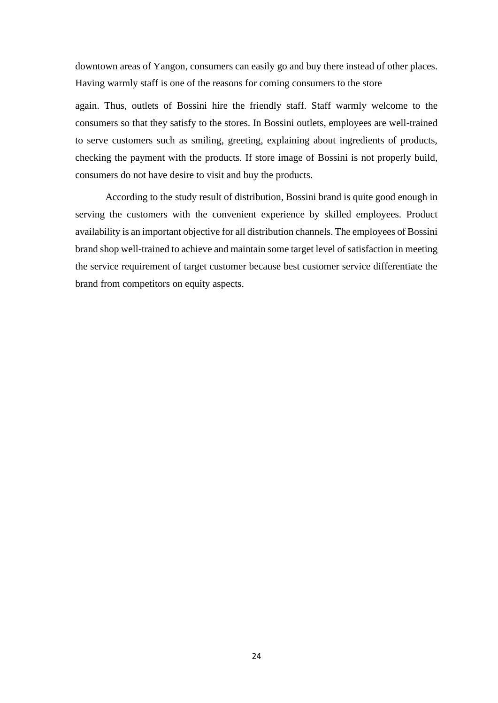downtown areas of Yangon, consumers can easily go and buy there instead of other places. Having warmly staff is one of the reasons for coming consumers to the store

again. Thus, outlets of Bossini hire the friendly staff. Staff warmly welcome to the consumers so that they satisfy to the stores. In Bossini outlets, employees are well-trained to serve customers such as smiling, greeting, explaining about ingredients of products, checking the payment with the products. If store image of Bossini is not properly build, consumers do not have desire to visit and buy the products.

 According to the study result of distribution, Bossini brand is quite good enough in serving the customers with the convenient experience by skilled employees. Product availability is an important objective for all distribution channels. The employees of Bossini brand shop well-trained to achieve and maintain some target level of satisfaction in meeting the service requirement of target customer because best customer service differentiate the brand from competitors on equity aspects.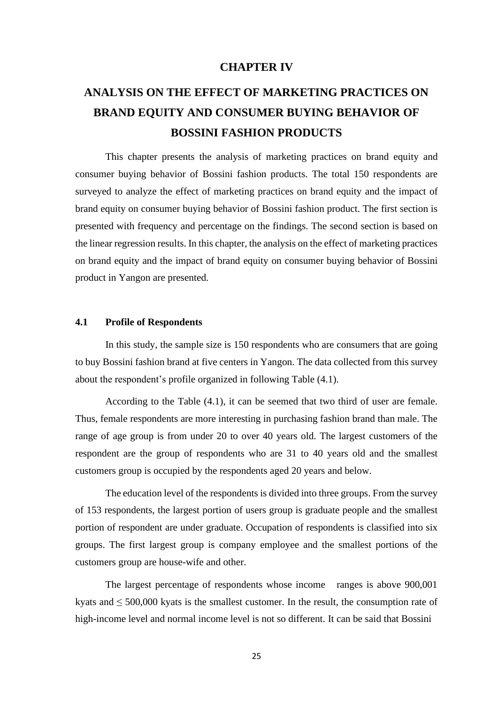#### **CHAPTER IV**

## **ANALYSIS ON THE EFFECT OF MARKETING PRACTICES ON BRAND EQUITY AND CONSUMER BUYING BEHAVIOR OF BOSSINI FASHION PRODUCTS**

This chapter presents the analysis of marketing practices on brand equity and consumer buying behavior of Bossini fashion products. The total 150 respondents are surveyed to analyze the effect of marketing practices on brand equity and the impact of brand equity on consumer buying behavior of Bossini fashion product. The first section is presented with frequency and percentage on the findings. The second section is based on the linear regression results. In this chapter, the analysis on the effect of marketing practices on brand equity and the impact of brand equity on consumer buying behavior of Bossini product in Yangon are presented.

#### **4.1 Profile of Respondents**

In this study, the sample size is 150 respondents who are consumers that are going to buy Bossini fashion brand at five centers in Yangon. The data collected from this survey about the respondent's profile organized in following Table (4.1).

 According to the Table (4.1), it can be seemed that two third of user are female. Thus, female respondents are more interesting in purchasing fashion brand than male. The range of age group is from under 20 to over 40 years old. The largest customers of the respondent are the group of respondents who are 31 to 40 years old and the smallest customers group is occupied by the respondents aged 20 years and below.

 The education level of the respondents is divided into three groups. From the survey of 153 respondents, the largest portion of users group is graduate people and the smallest portion of respondent are under graduate. Occupation of respondents is classified into six groups. The first largest group is company employee and the smallest portions of the customers group are house-wife and other.

 The largest percentage of respondents whose income ranges is above 900,001 kyats and  $\leq 500,000$  kyats is the smallest customer. In the result, the consumption rate of high-income level and normal income level is not so different. It can be said that Bossini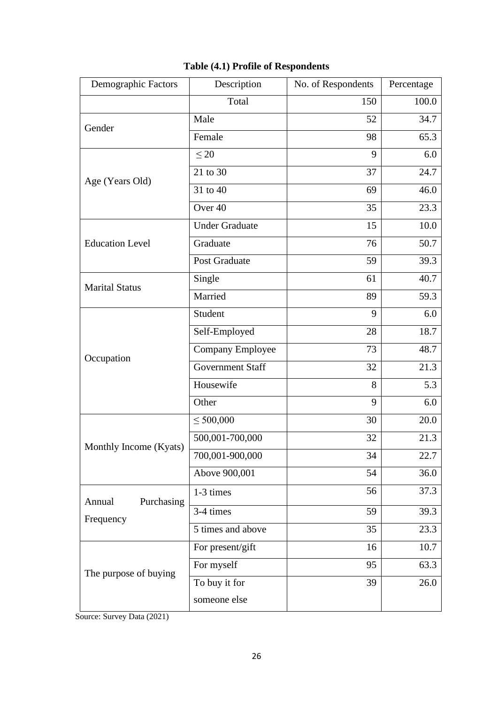| Demographic Factors               | Description             | No. of Respondents | Percentage |
|-----------------------------------|-------------------------|--------------------|------------|
|                                   | Total                   | 150                | 100.0      |
| Gender                            | Male                    | 52                 | 34.7       |
|                                   | Female                  | 98                 | 65.3       |
|                                   | $\leq 20$               | 9                  | 6.0        |
| Age (Years Old)                   | 21 to 30                | 37                 | 24.7       |
|                                   | 31 to 40                | 69                 | 46.0       |
|                                   | Over 40                 | 35                 | 23.3       |
|                                   | <b>Under Graduate</b>   | 15                 | 10.0       |
| <b>Education Level</b>            | Graduate                | 76                 | 50.7       |
|                                   | Post Graduate           | 59                 | 39.3       |
| <b>Marital Status</b>             | Single                  | 61                 | 40.7       |
|                                   | Married                 | 89                 | 59.3       |
|                                   | Student                 | 9                  | 6.0        |
|                                   | Self-Employed           | 28                 | 18.7       |
| Occupation                        | Company Employee        | 73                 | 48.7       |
|                                   | <b>Government Staff</b> | 32                 | 21.3       |
|                                   | Housewife               | 8                  | 5.3        |
|                                   | Other                   | 9                  | 6.0        |
|                                   | $\leq 500,000$          | 30                 | 20.0       |
| Monthly Income (Kyats)            | 500,001-700,000         | 32                 | 21.3       |
|                                   | 700,001-900,000         | 34                 | 22.7       |
|                                   | Above 900,001           | 54                 | 36.0       |
|                                   | 1-3 times               | 56                 | 37.3       |
| Purchasing<br>Annual<br>Frequency | 3-4 times               | 59                 | 39.3       |
|                                   | 5 times and above       | 35                 | 23.3       |
|                                   | For present/gift        | 16                 | 10.7       |
|                                   | For myself              | 95                 | 63.3       |
| The purpose of buying             | To buy it for           | 39                 | 26.0       |
|                                   | someone else            |                    |            |

## **Table (4.1) Profile of Respondents**

Source: Survey Data (2021)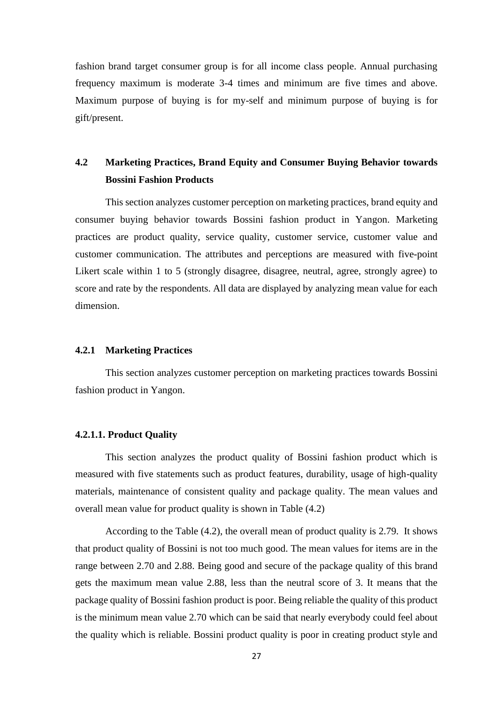fashion brand target consumer group is for all income class people. Annual purchasing frequency maximum is moderate 3-4 times and minimum are five times and above. Maximum purpose of buying is for my-self and minimum purpose of buying is for gift/present.

## **4.2 Marketing Practices, Brand Equity and Consumer Buying Behavior towards Bossini Fashion Products**

 This section analyzes customer perception on marketing practices, brand equity and consumer buying behavior towards Bossini fashion product in Yangon. Marketing practices are product quality, service quality, customer service, customer value and customer communication. The attributes and perceptions are measured with five-point Likert scale within 1 to 5 (strongly disagree, disagree, neutral, agree, strongly agree) to score and rate by the respondents. All data are displayed by analyzing mean value for each dimension.

#### **4.2.1 Marketing Practices**

This section analyzes customer perception on marketing practices towards Bossini fashion product in Yangon.

#### **4.2.1.1. Product Quality**

 This section analyzes the product quality of Bossini fashion product which is measured with five statements such as product features, durability, usage of high-quality materials, maintenance of consistent quality and package quality. The mean values and overall mean value for product quality is shown in Table (4.2)

 According to the Table (4.2), the overall mean of product quality is 2.79. It shows that product quality of Bossini is not too much good. The mean values for items are in the range between 2.70 and 2.88. Being good and secure of the package quality of this brand gets the maximum mean value 2.88, less than the neutral score of 3. It means that the package quality of Bossini fashion product is poor. Being reliable the quality of this product is the minimum mean value 2.70 which can be said that nearly everybody could feel about the quality which is reliable. Bossini product quality is poor in creating product style and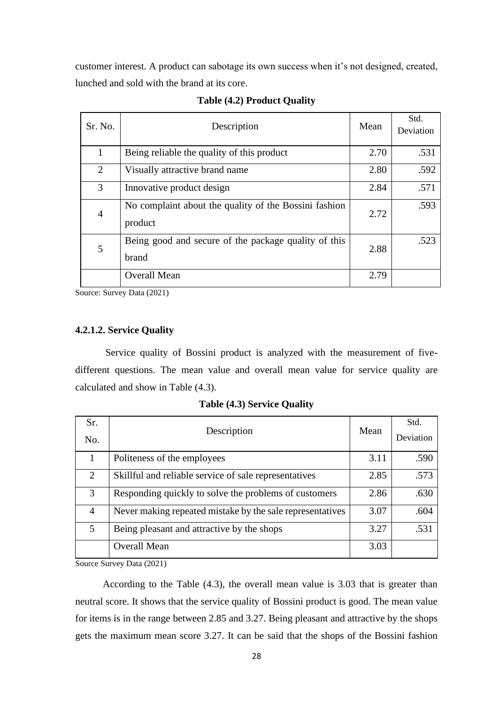customer interest. A product can sabotage its own success when it's not designed, created, lunched and sold with the brand at its core.

| Sr. No.        | Description                                                      | Mean | Std.<br>Deviation |
|----------------|------------------------------------------------------------------|------|-------------------|
| 1              | Being reliable the quality of this product                       | 2.70 | .531              |
| 2              | Visually attractive brand name                                   | 2.80 | .592              |
| 3              | Innovative product design                                        | 2.84 | .571              |
| $\overline{4}$ | No complaint about the quality of the Bossini fashion<br>product | 2.72 | .593              |
| 5              | Being good and secure of the package quality of this<br>brand    | 2.88 | .523              |
|                | <b>Overall Mean</b>                                              | 2.79 |                   |

Source: Survey Data (2021)

#### **4.2.1.2. Service Quality**

 Service quality of Bossini product is analyzed with the measurement of fivedifferent questions. The mean value and overall mean value for service quality are calculated and show in Table (4.3).

| Sr.<br>No.                  | Description                                               | Mean | Std.<br>Deviation |
|-----------------------------|-----------------------------------------------------------|------|-------------------|
|                             | Politeness of the employees                               | 3.11 | .590              |
| $\mathcal{D}_{\mathcal{L}}$ | Skillful and reliable service of sale representatives     | 2.85 | .573              |
| 3                           | Responding quickly to solve the problems of customers     | 2.86 | .630              |
| 4                           | Never making repeated mistake by the sale representatives | 3.07 | .604              |
| 5                           | Being pleasant and attractive by the shops                | 3.27 | .531              |
|                             | <b>Overall Mean</b>                                       | 3.03 |                   |

**Table (4.3) Service Quality**

Source Survey Data (2021)

 According to the Table (4.3), the overall mean value is 3.03 that is greater than neutral score. It shows that the service quality of Bossini product is good. The mean value for items is in the range between 2.85 and 3.27. Being pleasant and attractive by the shops gets the maximum mean score 3.27. It can be said that the shops of the Bossini fashion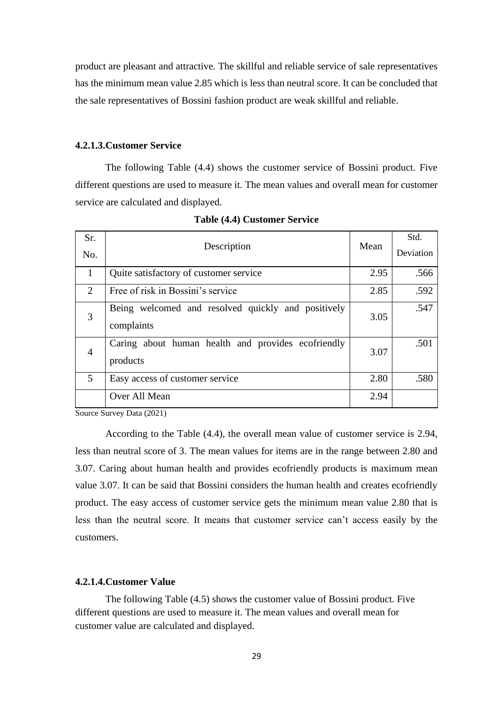product are pleasant and attractive. The skillful and reliable service of sale representatives has the minimum mean value 2.85 which is less than neutral score. It can be concluded that the sale representatives of Bossini fashion product are weak skillful and reliable.

#### **4.2.1.3.Customer Service**

 The following Table (4.4) shows the customer service of Bossini product. Five different questions are used to measure it. The mean values and overall mean for customer service are calculated and displayed.

| Sr.            | Description                                                      | Mean | Std.      |
|----------------|------------------------------------------------------------------|------|-----------|
| No.            |                                                                  |      | Deviation |
| 1              | Quite satisfactory of customer service                           | 2.95 | .566      |
| $\overline{2}$ | Free of risk in Bossini's service                                | 2.85 | .592      |
| 3              | Being welcomed and resolved quickly and positively<br>complaints | 3.05 | .547      |
| $\overline{4}$ | Caring about human health and provides ecofriendly<br>products   | 3.07 | .501      |
| 5              | Easy access of customer service                                  | 2.80 | .580      |
|                | Over All Mean                                                    | 2.94 |           |

|  | <b>Table (4.4) Customer Service</b> |  |
|--|-------------------------------------|--|
|--|-------------------------------------|--|

Source Survey Data (2021)

 According to the Table (4.4), the overall mean value of customer service is 2.94, less than neutral score of 3. The mean values for items are in the range between 2.80 and 3.07. Caring about human health and provides ecofriendly products is maximum mean value 3.07. It can be said that Bossini considers the human health and creates ecofriendly product. The easy access of customer service gets the minimum mean value 2.80 that is less than the neutral score. It means that customer service can't access easily by the customers.

#### **4.2.1.4.Customer Value**

The following Table (4.5) shows the customer value of Bossini product. Five different questions are used to measure it. The mean values and overall mean for customer value are calculated and displayed.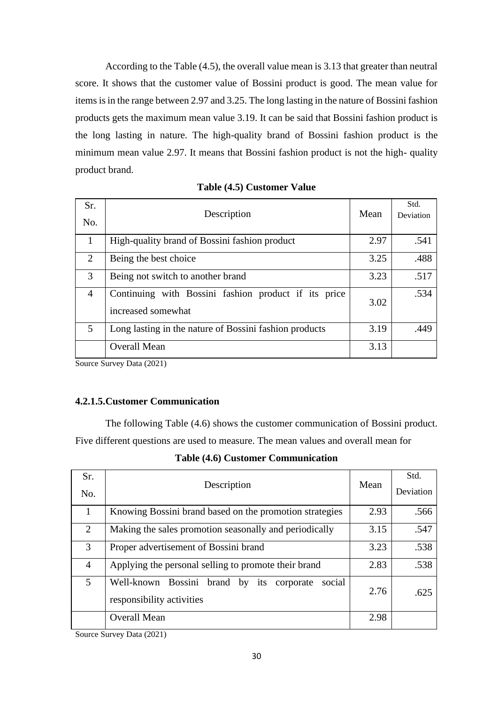According to the Table (4.5), the overall value mean is 3.13 that greater than neutral score. It shows that the customer value of Bossini product is good. The mean value for items is in the range between 2.97 and 3.25. The long lasting in the nature of Bossini fashion products gets the maximum mean value 3.19. It can be said that Bossini fashion product is the long lasting in nature. The high-quality brand of Bossini fashion product is the minimum mean value 2.97. It means that Bossini fashion product is not the high- quality product brand.

| Sr.<br>No.     | Description                                                                | Mean | Std.<br>Deviation |
|----------------|----------------------------------------------------------------------------|------|-------------------|
|                | High-quality brand of Bossini fashion product                              | 2.97 | .541              |
| 2              | Being the best choice                                                      | 3.25 | .488              |
| 3              | Being not switch to another brand                                          | 3.23 | .517              |
| $\overline{4}$ | Continuing with Bossini fashion product if its price<br>increased somewhat | 3.02 | .534              |
| 5              | Long lasting in the nature of Bossini fashion products                     | 3.19 | .449              |
|                | <b>Overall Mean</b>                                                        | 3.13 |                   |

| Table (4.5) Customer Value |  |  |
|----------------------------|--|--|
|----------------------------|--|--|

Source Survey Data (2021)

#### **4.2.1.5.Customer Communication**

 The following Table (4.6) shows the customer communication of Bossini product. Five different questions are used to measure. The mean values and overall mean for

|  |  | <b>Table (4.6) Customer Communication</b> |
|--|--|-------------------------------------------|
|--|--|-------------------------------------------|

| Sr.            | Description                                                                      |      | Std.      |
|----------------|----------------------------------------------------------------------------------|------|-----------|
| No.            |                                                                                  |      | Deviation |
| 1              | Knowing Bossini brand based on the promotion strategies                          | 2.93 | .566      |
| 2              | Making the sales promotion seasonally and periodically                           | 3.15 | .547      |
| 3              | Proper advertisement of Bossini brand                                            | 3.23 | .538      |
| $\overline{4}$ | Applying the personal selling to promote their brand                             | 2.83 | .538      |
| 5              | Well-known Bossini brand by its corporate<br>social<br>responsibility activities | 2.76 | .625      |
|                | <b>Overall Mean</b>                                                              | 2.98 |           |

Source Survey Data (2021)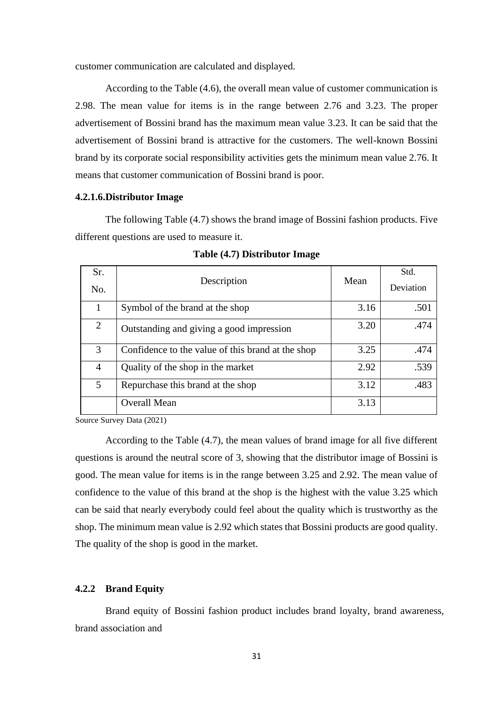customer communication are calculated and displayed.

 According to the Table (4.6), the overall mean value of customer communication is 2.98. The mean value for items is in the range between 2.76 and 3.23. The proper advertisement of Bossini brand has the maximum mean value 3.23. It can be said that the advertisement of Bossini brand is attractive for the customers. The well-known Bossini brand by its corporate social responsibility activities gets the minimum mean value 2.76. It means that customer communication of Bossini brand is poor.

#### **4.2.1.6.Distributor Image**

 The following Table (4.7) shows the brand image of Bossini fashion products. Five different questions are used to measure it.

| Sr.<br>No.     | Description                                       | Mean | Std.<br>Deviation |
|----------------|---------------------------------------------------|------|-------------------|
|                | Symbol of the brand at the shop                   | 3.16 | .501              |
| $\overline{2}$ | Outstanding and giving a good impression          | 3.20 | .474              |
| 3              | Confidence to the value of this brand at the shop | 3.25 | .474              |
| 4              | Quality of the shop in the market                 | 2.92 | .539              |
| 5              | Repurchase this brand at the shop                 | 3.12 | .483              |
|                | <b>Overall Mean</b>                               | 3.13 |                   |

**Table (4.7) Distributor Image**

Source Survey Data (2021)

According to the Table (4.7), the mean values of brand image for all five different questions is around the neutral score of 3, showing that the distributor image of Bossini is good. The mean value for items is in the range between 3.25 and 2.92. The mean value of confidence to the value of this brand at the shop is the highest with the value 3.25 which can be said that nearly everybody could feel about the quality which is trustworthy as the shop. The minimum mean value is 2.92 which states that Bossini products are good quality. The quality of the shop is good in the market.

#### **4.2.2 Brand Equity**

 Brand equity of Bossini fashion product includes brand loyalty, brand awareness, brand association and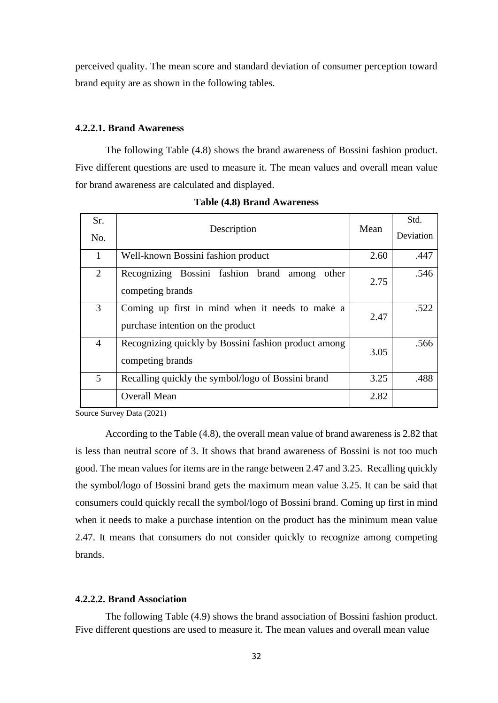perceived quality. The mean score and standard deviation of consumer perception toward brand equity are as shown in the following tables.

#### **4.2.2.1. Brand Awareness**

 The following Table (4.8) shows the brand awareness of Bossini fashion product. Five different questions are used to measure it. The mean values and overall mean value for brand awareness are calculated and displayed.

| Sr.<br>No.     | Description                                                                          |      | Std.<br>Deviation |
|----------------|--------------------------------------------------------------------------------------|------|-------------------|
| 1              | Well-known Bossini fashion product                                                   | 2.60 | .447              |
| 2              | Recognizing Bossini fashion brand<br>other<br>among<br>competing brands              | 2.75 | .546              |
| 3              | Coming up first in mind when it needs to make a<br>purchase intention on the product | 2.47 | .522              |
| $\overline{4}$ | Recognizing quickly by Bossini fashion product among<br>competing brands             | 3.05 | .566              |
| 5              | Recalling quickly the symbol/logo of Bossini brand                                   | 3.25 | .488              |
|                | <b>Overall Mean</b>                                                                  | 2.82 |                   |

**Table (4.8) Brand Awareness**

Source Survey Data (2021)

 According to the Table (4.8), the overall mean value of brand awareness is 2.82 that is less than neutral score of 3. It shows that brand awareness of Bossini is not too much good. The mean values for items are in the range between 2.47 and 3.25. Recalling quickly the symbol/logo of Bossini brand gets the maximum mean value 3.25. It can be said that consumers could quickly recall the symbol/logo of Bossini brand. Coming up first in mind when it needs to make a purchase intention on the product has the minimum mean value 2.47. It means that consumers do not consider quickly to recognize among competing brands.

#### **4.2.2.2. Brand Association**

The following Table (4.9) shows the brand association of Bossini fashion product. Five different questions are used to measure it. The mean values and overall mean value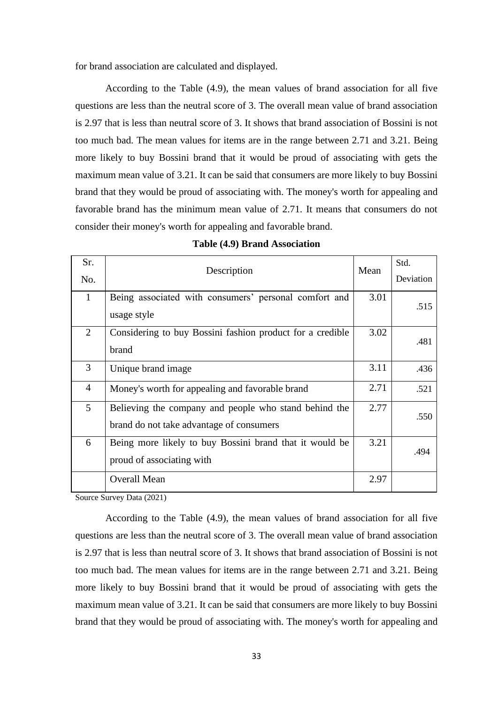for brand association are calculated and displayed.

 According to the Table (4.9), the mean values of brand association for all five questions are less than the neutral score of 3. The overall mean value of brand association is 2.97 that is less than neutral score of 3. It shows that brand association of Bossini is not too much bad. The mean values for items are in the range between 2.71 and 3.21. Being more likely to buy Bossini brand that it would be proud of associating with gets the maximum mean value of 3.21. It can be said that consumers are more likely to buy Bossini brand that they would be proud of associating with. The money's worth for appealing and favorable brand has the minimum mean value of 2.71. It means that consumers do not consider their money's worth for appealing and favorable brand.

| Sr.            |                                                                                                   | Mean | Std.      |
|----------------|---------------------------------------------------------------------------------------------------|------|-----------|
| No.            | Description                                                                                       |      | Deviation |
| $\mathbf{1}$   | Being associated with consumers' personal comfort and<br>usage style                              | 3.01 | .515      |
| 2              | Considering to buy Bossini fashion product for a credible<br>brand                                | 3.02 | .481      |
| $\overline{3}$ | Unique brand image                                                                                | 3.11 | .436      |
| $\overline{4}$ | Money's worth for appealing and favorable brand                                                   | 2.71 | .521      |
| 5              | Believing the company and people who stand behind the<br>brand do not take advantage of consumers | 2.77 | .550      |
| 6              | Being more likely to buy Bossini brand that it would be<br>proud of associating with              | 3.21 | .494      |
|                | <b>Overall Mean</b>                                                                               | 2.97 |           |

Source Survey Data (2021)

 According to the Table (4.9), the mean values of brand association for all five questions are less than the neutral score of 3. The overall mean value of brand association is 2.97 that is less than neutral score of 3. It shows that brand association of Bossini is not too much bad. The mean values for items are in the range between 2.71 and 3.21. Being more likely to buy Bossini brand that it would be proud of associating with gets the maximum mean value of 3.21. It can be said that consumers are more likely to buy Bossini brand that they would be proud of associating with. The money's worth for appealing and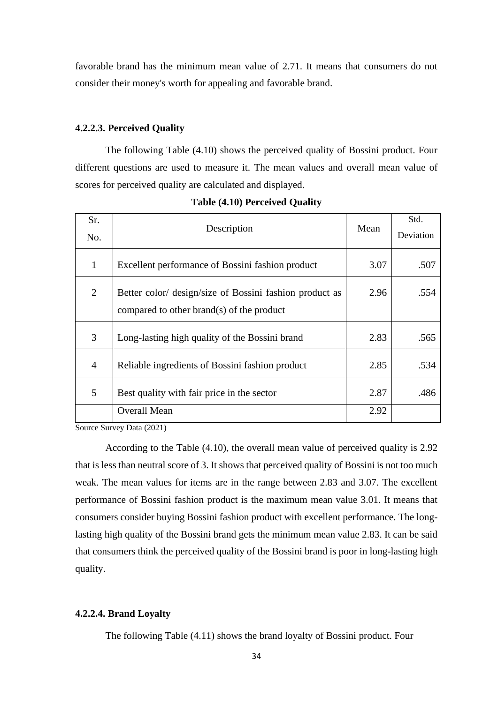favorable brand has the minimum mean value of 2.71. It means that consumers do not consider their money's worth for appealing and favorable brand.

#### **4.2.2.3. Perceived Quality**

 The following Table (4.10) shows the perceived quality of Bossini product. Four different questions are used to measure it. The mean values and overall mean value of scores for perceived quality are calculated and displayed.

| Sr.            | Description                                             | Mean | Std.      |
|----------------|---------------------------------------------------------|------|-----------|
| No.            |                                                         |      | Deviation |
| 1              | Excellent performance of Bossini fashion product        | 3.07 | .507      |
| 2              | Better color/ design/size of Bossini fashion product as | 2.96 | .554      |
|                | compared to other brand(s) of the product               |      |           |
| 3              | Long-lasting high quality of the Bossini brand          | 2.83 | .565      |
| $\overline{4}$ | Reliable ingredients of Bossini fashion product         | 2.85 | .534      |
| 5              | Best quality with fair price in the sector              | 2.87 | .486      |
|                | <b>Overall Mean</b>                                     | 2.92 |           |

**Table (4.10) Perceived Quality**

Source Survey Data (2021)

 According to the Table (4.10), the overall mean value of perceived quality is 2.92 that is less than neutral score of 3. It shows that perceived quality of Bossini is not too much weak. The mean values for items are in the range between 2.83 and 3.07. The excellent performance of Bossini fashion product is the maximum mean value 3.01. It means that consumers consider buying Bossini fashion product with excellent performance. The longlasting high quality of the Bossini brand gets the minimum mean value 2.83. It can be said that consumers think the perceived quality of the Bossini brand is poor in long-lasting high quality.

#### **4.2.2.4. Brand Loyalty**

The following Table (4.11) shows the brand loyalty of Bossini product. Four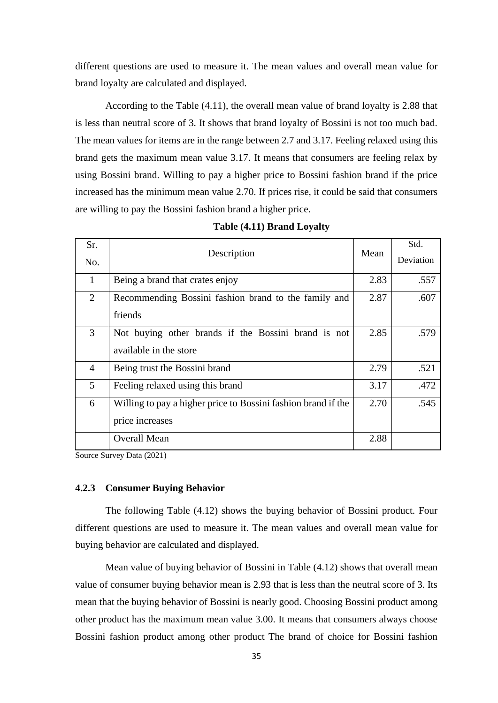different questions are used to measure it. The mean values and overall mean value for brand loyalty are calculated and displayed.

 According to the Table (4.11), the overall mean value of brand loyalty is 2.88 that is less than neutral score of 3. It shows that brand loyalty of Bossini is not too much bad. The mean values for items are in the range between 2.7 and 3.17. Feeling relaxed using this brand gets the maximum mean value 3.17. It means that consumers are feeling relax by using Bossini brand. Willing to pay a higher price to Bossini fashion brand if the price increased has the minimum mean value 2.70. If prices rise, it could be said that consumers are willing to pay the Bossini fashion brand a higher price.

| Sr.<br>No.     | Description                                                   |      | Std.<br>Deviation |
|----------------|---------------------------------------------------------------|------|-------------------|
| $\mathbf{1}$   | Being a brand that crates enjoy                               | 2.83 | .557              |
| $\overline{2}$ | Recommending Bossini fashion brand to the family and          | 2.87 | .607              |
|                | friends                                                       |      |                   |
| 3              | Not buying other brands if the Bossini brand is not           | 2.85 | .579              |
|                | available in the store                                        |      |                   |
| $\overline{4}$ | Being trust the Bossini brand                                 | 2.79 | .521              |
| 5              | Feeling relaxed using this brand                              | 3.17 | .472              |
| 6              | Willing to pay a higher price to Bossini fashion brand if the | 2.70 | .545              |
|                | price increases                                               |      |                   |
|                | Overall Mean                                                  | 2.88 |                   |

|  |  | Table (4.11) Brand Loyalty |  |
|--|--|----------------------------|--|
|--|--|----------------------------|--|

Source Survey Data (2021)

#### **4.2.3 Consumer Buying Behavior**

 The following Table (4.12) shows the buying behavior of Bossini product. Four different questions are used to measure it. The mean values and overall mean value for buying behavior are calculated and displayed.

 Mean value of buying behavior of Bossini in Table (4.12) shows that overall mean value of consumer buying behavior mean is 2.93 that is less than the neutral score of 3. Its mean that the buying behavior of Bossini is nearly good. Choosing Bossini product among other product has the maximum mean value 3.00. It means that consumers always choose Bossini fashion product among other product The brand of choice for Bossini fashion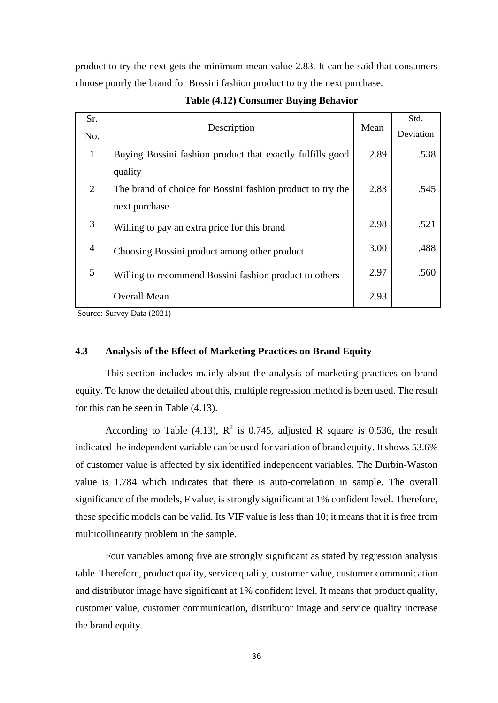product to try the next gets the minimum mean value 2.83. It can be said that consumers choose poorly the brand for Bossini fashion product to try the next purchase.

| Sr.<br>No.     | Description                                                                 |      | Std.<br>Deviation |
|----------------|-----------------------------------------------------------------------------|------|-------------------|
| $\mathbf{1}$   | Buying Bossini fashion product that exactly fulfills good                   | 2.89 | .538              |
|                | quality                                                                     |      |                   |
| 2              | The brand of choice for Bossini fashion product to try the<br>next purchase | 2.83 | .545              |
| 3              | Willing to pay an extra price for this brand                                | 2.98 | .521              |
| $\overline{4}$ | Choosing Bossini product among other product                                | 3.00 | .488              |
| 5              | Willing to recommend Bossini fashion product to others                      | 2.97 | .560              |
|                | <b>Overall Mean</b>                                                         | 2.93 |                   |

**Table (4.12) Consumer Buying Behavior**

Source: Survey Data (2021)

#### **4.3 Analysis of the Effect of Marketing Practices on Brand Equity**

 This section includes mainly about the analysis of marketing practices on brand equity. To know the detailed about this, multiple regression method is been used. The result for this can be seen in Table (4.13).

According to Table (4.13),  $\mathbb{R}^2$  is 0.745, adjusted R square is 0.536, the result indicated the independent variable can be used for variation of brand equity. It shows 53.6% of customer value is affected by six identified independent variables. The Durbin-Waston value is 1.784 which indicates that there is auto-correlation in sample. The overall significance of the models, F value, is strongly significant at 1% confident level. Therefore, these specific models can be valid. Its VIF value is less than 10; it means that it is free from multicollinearity problem in the sample.

 Four variables among five are strongly significant as stated by regression analysis table. Therefore, product quality, service quality, customer value, customer communication and distributor image have significant at 1% confident level. It means that product quality, customer value, customer communication, distributor image and service quality increase the brand equity.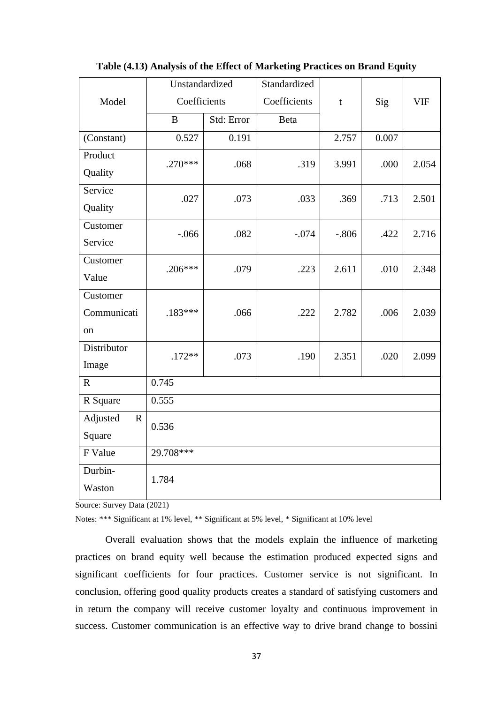|                         | Unstandardized |            | Standardized |                |       |            |
|-------------------------|----------------|------------|--------------|----------------|-------|------------|
| Model                   | Coefficients   |            | Coefficients | $\mathfrak{t}$ | Sig   | <b>VIF</b> |
|                         | $\bf{B}$       | Std: Error | Beta         |                |       |            |
| (Constant)              | 0.527          | 0.191      |              | 2.757          | 0.007 |            |
| Product                 | $.270***$      | .068       | .319         | 3.991          | .000  | 2.054      |
| Quality                 |                |            |              |                |       |            |
| Service                 | .027           | .073       | .033         | .369           | .713  | 2.501      |
| Quality                 |                |            |              |                |       |            |
| Customer                | $-.066$        | .082       | $-.074$      | $-.806$        | .422  | 2.716      |
| Service                 |                |            |              |                |       |            |
| Customer                | $.206***$      | .079       | .223         | 2.611          | .010  | 2.348      |
| Value                   |                |            |              |                |       |            |
| Customer                |                |            |              |                |       |            |
| Communicati             | $.183***$      | .066       | .222         | 2.782          | .006  | 2.039      |
| <sub>on</sub>           |                |            |              |                |       |            |
| Distributor             | $.172**$       | .073       | .190         | 2.351          | .020  | 2.099      |
| Image                   |                |            |              |                |       |            |
| $\mathbf R$             | 0.745          |            |              |                |       |            |
| R Square                | 0.555          |            |              |                |       |            |
| Adjusted<br>$\mathbf R$ | 0.536          |            |              |                |       |            |
| Square                  |                |            |              |                |       |            |
| F Value                 | 29.708***      |            |              |                |       |            |
| Durbin-                 | 1.784          |            |              |                |       |            |
| Waston                  |                |            |              |                |       |            |

#### **Table (4.13) Analysis of the Effect of Marketing Practices on Brand Equity**

Source: Survey Data (2021)

Notes: \*\*\* Significant at 1% level, \*\* Significant at 5% level, \* Significant at 10% level

 Overall evaluation shows that the models explain the influence of marketing practices on brand equity well because the estimation produced expected signs and significant coefficients for four practices. Customer service is not significant. In conclusion, offering good quality products creates a standard of satisfying customers and in return the company will receive customer loyalty and continuous improvement in success. Customer communication is an effective way to drive brand change to bossini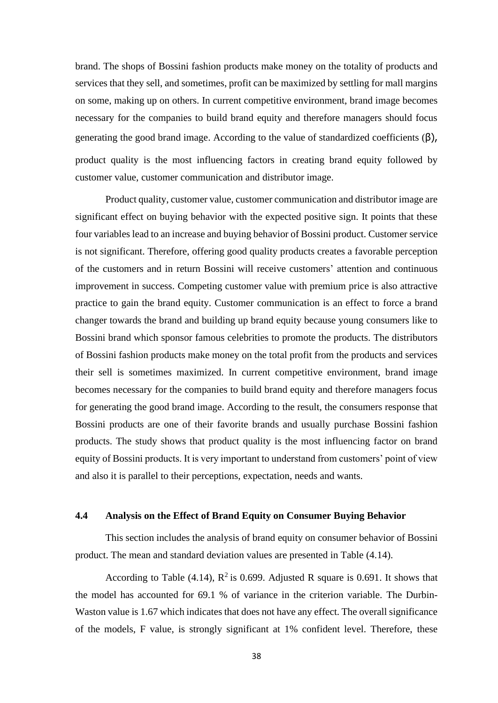brand. The shops of Bossini fashion products make money on the totality of products and services that they sell, and sometimes, profit can be maximized by settling for mall margins on some, making up on others. In current competitive environment, brand image becomes necessary for the companies to build brand equity and therefore managers should focus generating the good brand image. According to the value of standardized coefficients  $(β)$ , product quality is the most influencing factors in creating brand equity followed by customer value, customer communication and distributor image.

 Product quality, customer value, customer communication and distributor image are significant effect on buying behavior with the expected positive sign. It points that these four variables lead to an increase and buying behavior of Bossini product. Customer service is not significant. Therefore, offering good quality products creates a favorable perception of the customers and in return Bossini will receive customers' attention and continuous improvement in success. Competing customer value with premium price is also attractive practice to gain the brand equity. Customer communication is an effect to force a brand changer towards the brand and building up brand equity because young consumers like to Bossini brand which sponsor famous celebrities to promote the products. The distributors of Bossini fashion products make money on the total profit from the products and services their sell is sometimes maximized. In current competitive environment, brand image becomes necessary for the companies to build brand equity and therefore managers focus for generating the good brand image. According to the result, the consumers response that Bossini products are one of their favorite brands and usually purchase Bossini fashion products. The study shows that product quality is the most influencing factor on brand equity of Bossini products. It is very important to understand from customers' point of view and also it is parallel to their perceptions, expectation, needs and wants.

#### **4.4 Analysis on the Effect of Brand Equity on Consumer Buying Behavior**

 This section includes the analysis of brand equity on consumer behavior of Bossini product. The mean and standard deviation values are presented in Table (4.14).

According to Table (4.14),  $\mathbb{R}^2$  is 0.699. Adjusted R square is 0.691. It shows that the model has accounted for 69.1 % of variance in the criterion variable. The Durbin-Waston value is 1.67 which indicates that does not have any effect. The overall significance of the models, F value, is strongly significant at 1% confident level. Therefore, these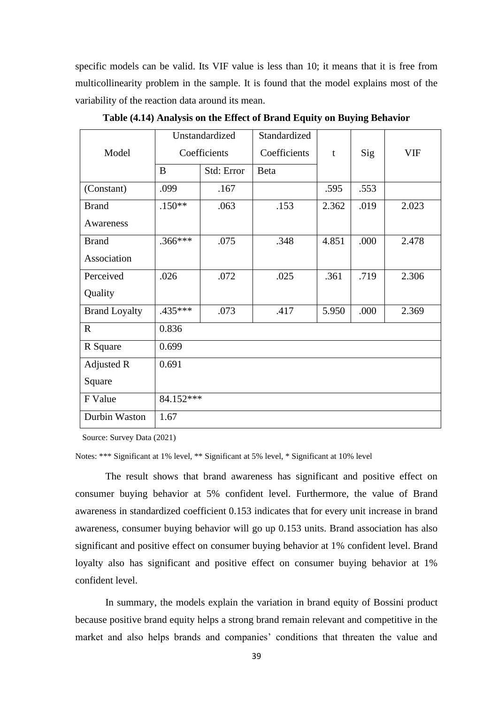specific models can be valid. Its VIF value is less than 10; it means that it is free from multicollinearity problem in the sample. It is found that the model explains most of the variability of the reaction data around its mean.

|                      |              | Unstandardized | Standardized |       |      |            |
|----------------------|--------------|----------------|--------------|-------|------|------------|
| Model                | Coefficients |                | Coefficients | t     | Sig  | <b>VIF</b> |
|                      | B            | Std: Error     | <b>B</b> eta |       |      |            |
| (Constant)           | .099         | .167           |              | .595  | .553 |            |
| <b>Brand</b>         | $.150**$     | .063           | .153         | 2.362 | .019 | 2.023      |
| Awareness            |              |                |              |       |      |            |
| <b>Brand</b>         | .366***      | .075           | .348         | 4.851 | .000 | 2.478      |
| Association          |              |                |              |       |      |            |
| Perceived            | .026         | .072           | .025         | .361  | .719 | 2.306      |
| Quality              |              |                |              |       |      |            |
| <b>Brand Loyalty</b> | $.435***$    | .073           | .417         | 5.950 | .000 | 2.369      |
| $\mathbf R$          | 0.836        |                |              |       |      |            |
| R Square             | 0.699        |                |              |       |      |            |
| Adjusted R           | 0.691        |                |              |       |      |            |
| Square               |              |                |              |       |      |            |
| F Value              | 84.152***    |                |              |       |      |            |
| Durbin Waston        | 1.67         |                |              |       |      |            |

**Table (4.14) Analysis on the Effect of Brand Equity on Buying Behavior**

Source: Survey Data (2021)

Notes: \*\*\* Significant at 1% level, \*\* Significant at 5% level, \* Significant at 10% level

 The result shows that brand awareness has significant and positive effect on consumer buying behavior at 5% confident level. Furthermore, the value of Brand awareness in standardized coefficient 0.153 indicates that for every unit increase in brand awareness, consumer buying behavior will go up 0.153 units. Brand association has also significant and positive effect on consumer buying behavior at 1% confident level. Brand loyalty also has significant and positive effect on consumer buying behavior at 1% confident level.

 In summary, the models explain the variation in brand equity of Bossini product because positive brand equity helps a strong brand remain relevant and competitive in the market and also helps brands and companies' conditions that threaten the value and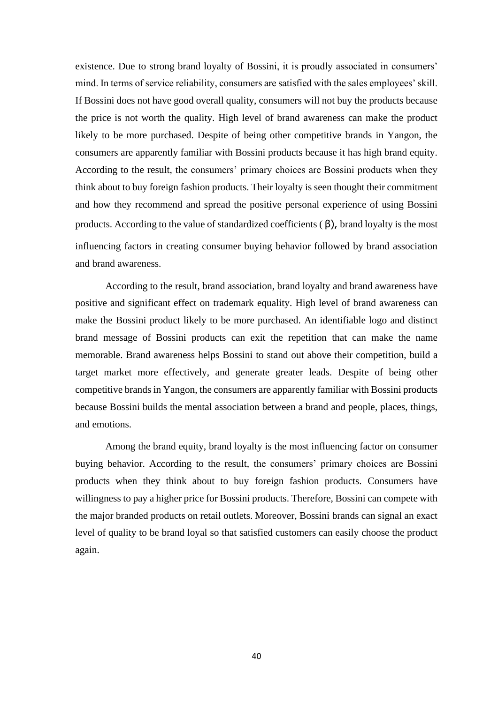existence. Due to strong brand loyalty of Bossini, it is proudly associated in consumers' mind. In terms of service reliability, consumers are satisfied with the sales employees' skill. If Bossini does not have good overall quality, consumers will not buy the products because the price is not worth the quality. High level of brand awareness can make the product likely to be more purchased. Despite of being other competitive brands in Yangon, the consumers are apparently familiar with Bossini products because it has high brand equity. According to the result, the consumers' primary choices are Bossini products when they think about to buy foreign fashion products. Their loyalty is seen thought their commitment and how they recommend and spread the positive personal experience of using Bossini products. According to the value of standardized coefficients ( β), brand loyalty is the most influencing factors in creating consumer buying behavior followed by brand association and brand awareness.

 According to the result, brand association, brand loyalty and brand awareness have positive and significant effect on trademark equality. High level of brand awareness can make the Bossini product likely to be more purchased. An identifiable logo and distinct brand message of Bossini products can exit the repetition that can make the name memorable. Brand awareness helps Bossini to stand out above their competition, build a target market more effectively, and generate greater leads. Despite of being other competitive brands in Yangon, the consumers are apparently familiar with Bossini products because Bossini builds the mental association between a brand and people, places, things, and emotions.

Among the brand equity, brand loyalty is the most influencing factor on consumer buying behavior. According to the result, the consumers' primary choices are Bossini products when they think about to buy foreign fashion products. Consumers have willingness to pay a higher price for Bossini products. Therefore, Bossini can compete with the major branded products on retail outlets. Moreover, Bossini brands can signal an exact level of quality to be brand loyal so that satisfied customers can easily choose the product again.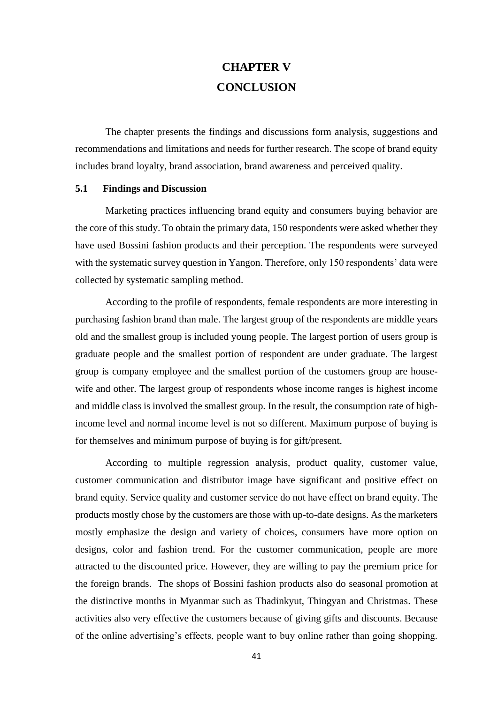## **CHAPTER V CONCLUSION**

 The chapter presents the findings and discussions form analysis, suggestions and recommendations and limitations and needs for further research. The scope of brand equity includes brand loyalty, brand association, brand awareness and perceived quality.

#### **5.1 Findings and Discussion**

Marketing practices influencing brand equity and consumers buying behavior are the core of this study. To obtain the primary data, 150 respondents were asked whether they have used Bossini fashion products and their perception. The respondents were surveyed with the systematic survey question in Yangon. Therefore, only 150 respondents' data were collected by systematic sampling method.

According to the profile of respondents, female respondents are more interesting in purchasing fashion brand than male. The largest group of the respondents are middle years old and the smallest group is included young people. The largest portion of users group is graduate people and the smallest portion of respondent are under graduate. The largest group is company employee and the smallest portion of the customers group are housewife and other. The largest group of respondents whose income ranges is highest income and middle class is involved the smallest group. In the result, the consumption rate of highincome level and normal income level is not so different. Maximum purpose of buying is for themselves and minimum purpose of buying is for gift/present.

 According to multiple regression analysis, product quality, customer value, customer communication and distributor image have significant and positive effect on brand equity. Service quality and customer service do not have effect on brand equity. The products mostly chose by the customers are those with up-to-date designs. As the marketers mostly emphasize the design and variety of choices, consumers have more option on designs, color and fashion trend. For the customer communication, people are more attracted to the discounted price. However, they are willing to pay the premium price for the foreign brands. The shops of Bossini fashion products also do seasonal promotion at the distinctive months in Myanmar such as Thadinkyut, Thingyan and Christmas. These activities also very effective the customers because of giving gifts and discounts. Because of the online advertising's effects, people want to buy online rather than going shopping.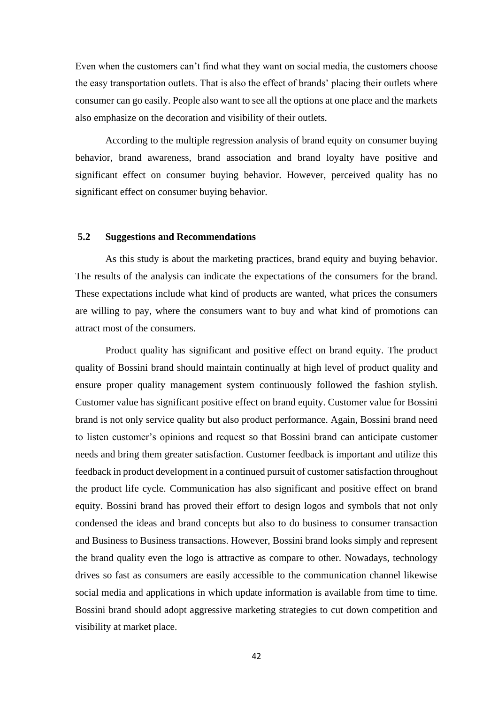Even when the customers can't find what they want on social media, the customers choose the easy transportation outlets. That is also the effect of brands' placing their outlets where consumer can go easily. People also want to see all the options at one place and the markets also emphasize on the decoration and visibility of their outlets.

According to the multiple regression analysis of brand equity on consumer buying behavior, brand awareness, brand association and brand loyalty have positive and significant effect on consumer buying behavior. However, perceived quality has no significant effect on consumer buying behavior.

#### **5.2 Suggestions and Recommendations**

 As this study is about the marketing practices, brand equity and buying behavior. The results of the analysis can indicate the expectations of the consumers for the brand. These expectations include what kind of products are wanted, what prices the consumers are willing to pay, where the consumers want to buy and what kind of promotions can attract most of the consumers.

Product quality has significant and positive effect on brand equity. The product quality of Bossini brand should maintain continually at high level of product quality and ensure proper quality management system continuously followed the fashion stylish. Customer value has significant positive effect on brand equity. Customer value for Bossini brand is not only service quality but also product performance. Again, Bossini brand need to listen customer's opinions and request so that Bossini brand can anticipate customer needs and bring them greater satisfaction. Customer feedback is important and utilize this feedback in product development in a continued pursuit of customer satisfaction throughout the product life cycle. Communication has also significant and positive effect on brand equity. Bossini brand has proved their effort to design logos and symbols that not only condensed the ideas and brand concepts but also to do business to consumer transaction and Business to Business transactions. However, Bossini brand looks simply and represent the brand quality even the logo is attractive as compare to other. Nowadays, technology drives so fast as consumers are easily accessible to the communication channel likewise social media and applications in which update information is available from time to time. Bossini brand should adopt aggressive marketing strategies to cut down competition and visibility at market place.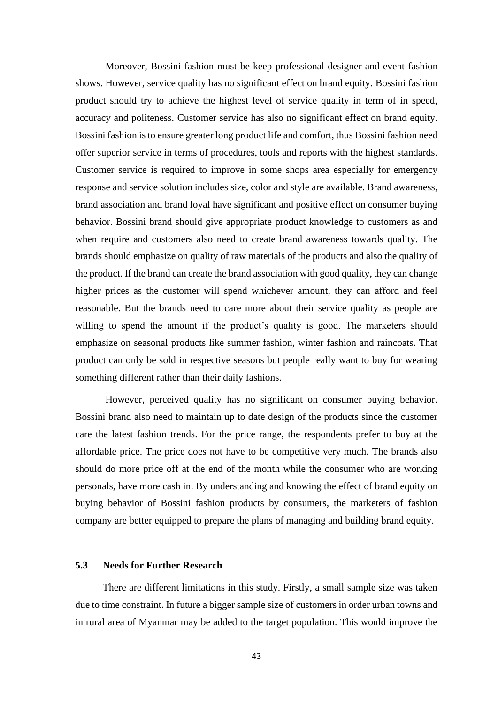Moreover, Bossini fashion must be keep professional designer and event fashion shows. However, service quality has no significant effect on brand equity. Bossini fashion product should try to achieve the highest level of service quality in term of in speed, accuracy and politeness. Customer service has also no significant effect on brand equity. Bossini fashion is to ensure greater long product life and comfort, thus Bossini fashion need offer superior service in terms of procedures, tools and reports with the highest standards. Customer service is required to improve in some shops area especially for emergency response and service solution includes size, color and style are available. Brand awareness, brand association and brand loyal have significant and positive effect on consumer buying behavior. Bossini brand should give appropriate product knowledge to customers as and when require and customers also need to create brand awareness towards quality. The brands should emphasize on quality of raw materials of the products and also the quality of the product. If the brand can create the brand association with good quality, they can change higher prices as the customer will spend whichever amount, they can afford and feel reasonable. But the brands need to care more about their service quality as people are willing to spend the amount if the product's quality is good. The marketers should emphasize on seasonal products like summer fashion, winter fashion and raincoats. That product can only be sold in respective seasons but people really want to buy for wearing something different rather than their daily fashions.

However, perceived quality has no significant on consumer buying behavior. Bossini brand also need to maintain up to date design of the products since the customer care the latest fashion trends. For the price range, the respondents prefer to buy at the affordable price. The price does not have to be competitive very much. The brands also should do more price off at the end of the month while the consumer who are working personals, have more cash in. By understanding and knowing the effect of brand equity on buying behavior of Bossini fashion products by consumers, the marketers of fashion company are better equipped to prepare the plans of managing and building brand equity.

#### **5.3 Needs for Further Research**

 There are different limitations in this study. Firstly, a small sample size was taken due to time constraint. In future a bigger sample size of customers in order urban towns and in rural area of Myanmar may be added to the target population. This would improve the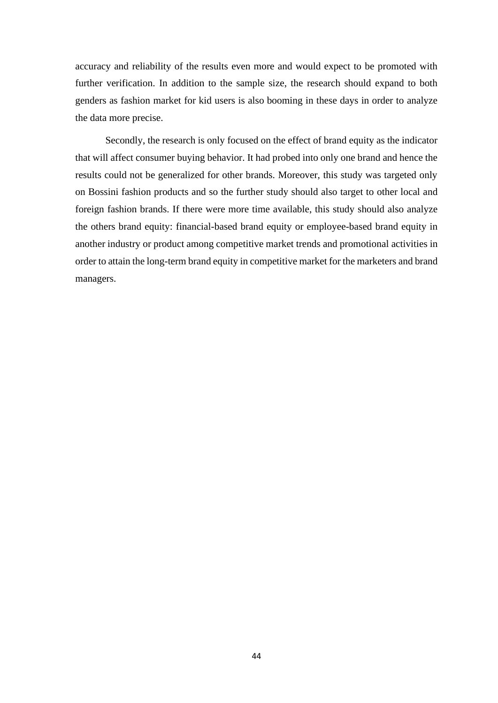accuracy and reliability of the results even more and would expect to be promoted with further verification. In addition to the sample size, the research should expand to both genders as fashion market for kid users is also booming in these days in order to analyze the data more precise.

 Secondly, the research is only focused on the effect of brand equity as the indicator that will affect consumer buying behavior. It had probed into only one brand and hence the results could not be generalized for other brands. Moreover, this study was targeted only on Bossini fashion products and so the further study should also target to other local and foreign fashion brands. If there were more time available, this study should also analyze the others brand equity: financial-based brand equity or employee-based brand equity in another industry or product among competitive market trends and promotional activities in order to attain the long-term brand equity in competitive market for the marketers and brand managers.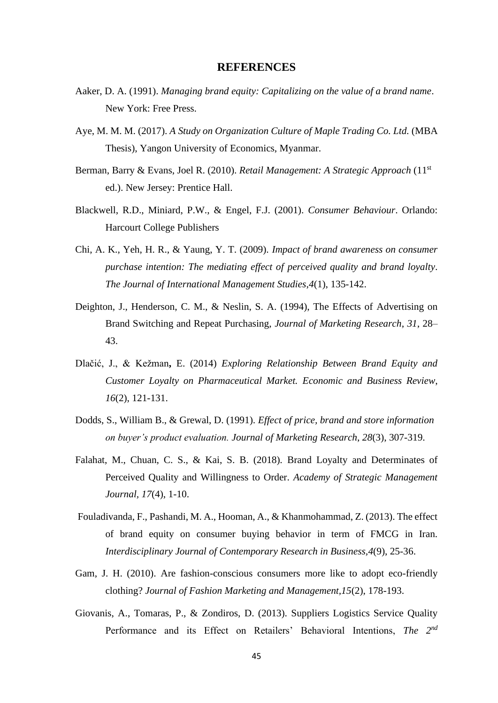#### **REFERENCES**

- Aaker, D. A. (1991). *Managing brand equity: Capitalizing on the value of a brand name*. New York: Free Press.
- Aye, M. M. M. (2017). *A Study on Organization Culture of Maple Trading Co. Ltd.* (MBA Thesis), Yangon University of Economics, Myanmar.
- Berman, Barry & Evans, Joel R. (2010). *Retail Management: A Strategic Approach* (11st ed.). New Jersey: Prentice Hall.
- Blackwell, R.D., Miniard, P.W., & Engel, F.J. (2001). *Consumer Behaviour*. Orlando: Harcourt College Publishers
- Chi, A. K., Yeh, H. R., & Yaung, Y. T. (2009). *Impact of brand awareness on consumer purchase intention: The mediating effect of perceived quality and brand loyalty*. *The Journal of International Management Studies*,*4*(1), 135-142.
- Deighton, J., Henderson, C. M., & Neslin, S. A. (1994), The Effects of Advertising on Brand Switching and Repeat Purchasing, *Journal of Marketing Research*, *31*, 28– 43.
- Dlačić, J., & Kežman**,** E. (2014) *Exploring Relationship Between Brand Equity and Customer Loyalty on Pharmaceutical Market. Economic and Business Review*, *16*(2), 121-131.
- Dodds, S., William B., & Grewal, D. (1991). *Effect of price, brand and store information on buyer's product evaluation. Journal of Marketing Research*, *28*(3), 307-319.
- Falahat, M., Chuan, C. S., & Kai, S. B. (2018). Brand Loyalty and Determinates of Perceived Quality and Willingness to Order. *Academy of Strategic Management Journal, 17*(4), 1-10.
- Fouladivanda, F., Pashandi, M. A., Hooman, A., & Khanmohammad, Z. (2013). The effect of brand equity on consumer buying behavior in term of FMCG in Iran. *Interdisciplinary Journal of Contemporary Research in Business,4*(9), 25-36.
- Gam, J. H. (2010). Are fashion-conscious consumers more like to adopt eco-friendly clothing? *Journal of Fashion Marketing and Management,15*(2), 178-193.
- Giovanis, A., Tomaras, P., & Zondiros, D. (2013). Suppliers Logistics Service Quality Performance and its Effect on Retailers' Behavioral Intentions, *The 2nd*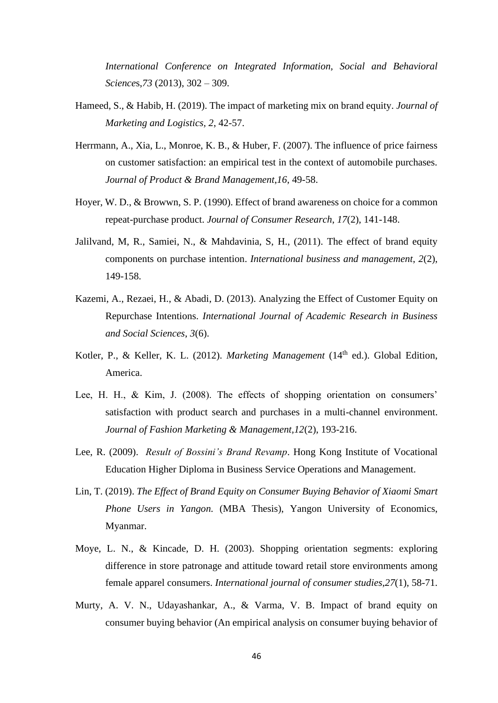*International Conference on Integrated Information, Social and Behavioral Science*s,*73* (2013), 302 – 309.

- Hameed, S., & Habib, H. (2019). The impact of marketing mix on brand equity. *Journal of Marketing and Logistics, 2*, 42-57.
- Herrmann, A., Xia, L., Monroe, K. B., & Huber, F. (2007). The influence of price fairness on customer satisfaction: an empirical test in the context of automobile purchases. *Journal of Product & Brand Management*,*16*, 49-58.
- Hoyer, W. D., & Browwn, S. P. (1990). Effect of brand awareness on choice for a common repeat-purchase product. *Journal of Consumer Research*, *17*(2), 141-148.
- Jalilvand, M, R., Samiei, N., & Mahdavinia, S, H., (2011). The effect of brand equity components on purchase intention. *International business and management*, *2*(2), 149-158.
- Kazemi, A., Rezaei, H., & Abadi, D. (2013). Analyzing the Effect of Customer Equity on Repurchase Intentions. *International Journal of Academic Research in Business and Social Sciences*, *3*(6).
- Kotler, P., & Keller, K. L. (2012). *Marketing Management* (14<sup>th</sup> ed.). Global Edition, America.
- Lee, H. H., & Kim, J. (2008). The effects of shopping orientation on consumers' satisfaction with product search and purchases in a multi-channel environment. *Journal of Fashion Marketing & Management,12*(2), 193-216.
- Lee, R. (2009). *Result of Bossini's Brand Revamp*. Hong Kong Institute of Vocational Education Higher Diploma in Business Service Operations and Management.
- Lin, T. (2019). *The Effect of Brand Equity on Consumer Buying Behavior of Xiaomi Smart Phone Users in Yangon.* (MBA Thesis), Yangon University of Economics, Myanmar.
- Moye, L. N., & Kincade, D. H. (2003). Shopping orientation segments: exploring difference in store patronage and attitude toward retail store environments among female apparel consumers. *International journal of consumer studies*,*27*(1), 58-71.
- Murty, A. V. N., Udayashankar, A., & Varma, V. B. Impact of brand equity on consumer buying behavior (An empirical analysis on consumer buying behavior of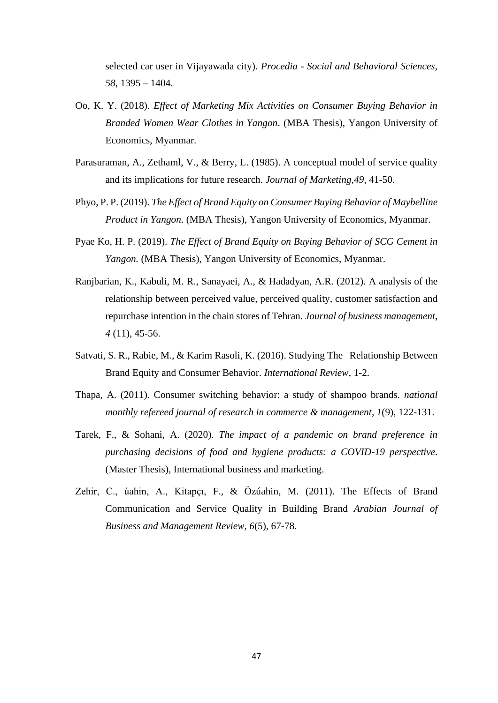selected car user in Vijayawada city). *Procedia - Social and Behavioral Sciences, 58*, 1395 – 1404.

- Oo, K. Y. (2018). *Effect of Marketing Mix Activities on Consumer Buying Behavior in Branded Women Wear Clothes in Yangon*. (MBA Thesis), Yangon University of Economics, Myanmar.
- Parasuraman, A., Zethaml, V., & Berry, L. (1985). A conceptual model of service quality and its implications for future research. *Journal of Marketing,49*, 41-50.
- Phyo, P. P. (2019). *The Effect of Brand Equity on Consumer Buying Behavior of Maybelline Product in Yangon*. (MBA Thesis), Yangon University of Economics, Myanmar.
- Pyae Ko, H. P. (2019). *The Effect of Brand Equity on Buying Behavior of SCG Cement in Yangon.* (MBA Thesis), Yangon University of Economics, Myanmar.
- Ranjbarian, K., Kabuli, M. R., Sanayaei, A., & Hadadyan, A.R. (2012). A analysis of the relationship between perceived value, perceived quality, customer satisfaction and repurchase intention in the chain stores of Tehran. *Journal of business management*, *4* (11), 45-56.
- Satvati, S. R., Rabie, M., & Karim Rasoli, K. (2016). Studying The Relationship Between Brand Equity and Consumer Behavior. *International Review*, 1-2.
- Thapa, A. (2011). Consumer switching behavior: a study of shampoo brands*. national monthly refereed journal of research in commerce & management*, *1*(9), 122-131.
- Tarek, F., & Sohani, A. (2020). *The impact of a pandemic on brand preference in purchasing decisions of food and hygiene products: a COVID-19 perspective*. (Master Thesis), International business and marketing.
- Zehir, C., ùahin, A., Kitapçı, F., & Özúahin, M. (2011). The Effects of Brand Communication and Service Quality in Building Brand *Arabian Journal of Business and Management Review, 6*(5), 67-78.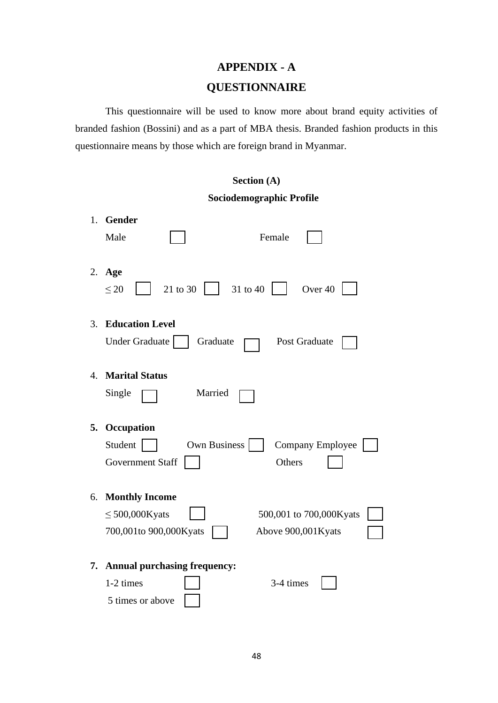## **APPENDIX - A QUESTIONNAIRE**

This questionnaire will be used to know more about brand equity activities of branded fashion (Bossini) and as a part of MBA thesis. Branded fashion products in this questionnaire means by those which are foreign brand in Myanmar.

|    | Section (A)                                                                                                             |
|----|-------------------------------------------------------------------------------------------------------------------------|
|    | Sociodemographic Profile                                                                                                |
| 1. | Gender<br>Male<br>Female                                                                                                |
| 2. | Age<br>21 to 30<br>31 to 40<br>Over <sub>40</sub><br>$\leq 20$                                                          |
| 3. | <b>Education Level</b><br><b>Under Graduate</b><br>Graduate<br>Post Graduate                                            |
| 4. | <b>Marital Status</b><br>Married<br>Single                                                                              |
| 5. | Occupation<br>Student<br>Own Business<br>Company Employee<br>Government Staff<br>Others                                 |
| 6. | <b>Monthly Income</b><br>$\leq$ 500,000Kyats<br>500,001 to 700,000Kyats<br>700,001to 900,000Kyats<br>Above 900,001Kyats |
| 7. | <b>Annual purchasing frequency:</b><br>1-2 times<br>3-4 times<br>5 times or above                                       |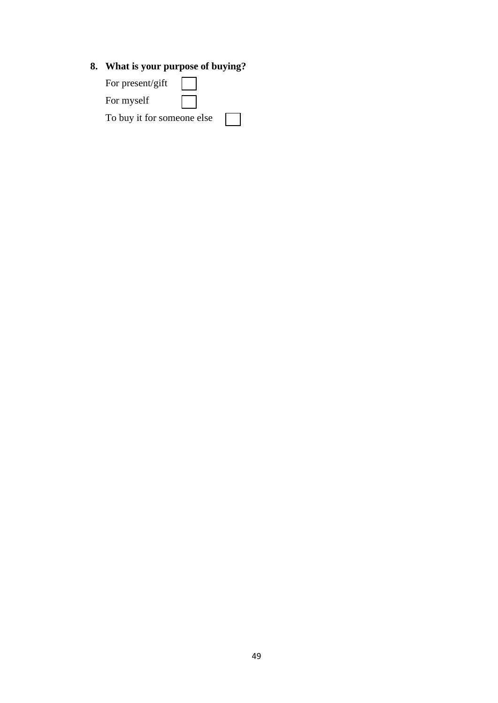## **8. What is your purpose of buying?**

| For present/gift           |  |
|----------------------------|--|
| For myself                 |  |
| To buy it for someone else |  |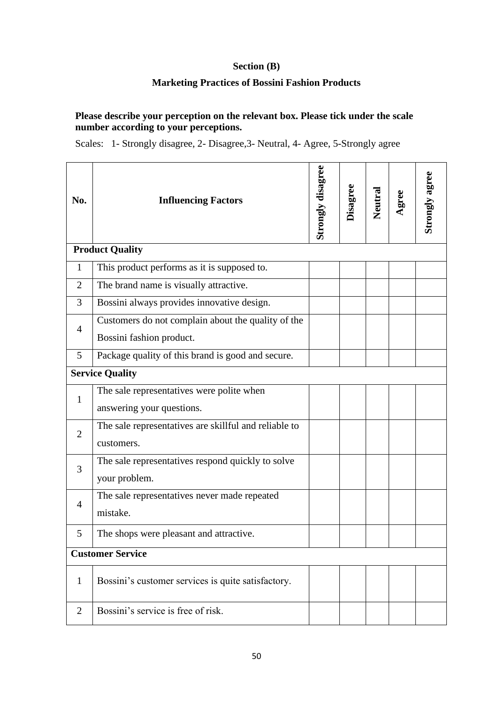## **Section (B)**

### **Marketing Practices of Bossini Fashion Products**

### **Please describe your perception on the relevant box. Please tick under the scale number according to your perceptions.**

Scales: 1- Strongly disagree, 2- Disagree,3- Neutral, 4- Agree, 5-Strongly agree

| No.            | <b>Influencing Factors</b>                            | <b>Strongly disagree</b> | Disagree | Neutral | Agree | Strongly agree |
|----------------|-------------------------------------------------------|--------------------------|----------|---------|-------|----------------|
|                | <b>Product Quality</b>                                |                          |          |         |       |                |
| $\mathbf{1}$   | This product performs as it is supposed to.           |                          |          |         |       |                |
| $\overline{2}$ | The brand name is visually attractive.                |                          |          |         |       |                |
| 3              | Bossini always provides innovative design.            |                          |          |         |       |                |
| 4              | Customers do not complain about the quality of the    |                          |          |         |       |                |
|                | Bossini fashion product.                              |                          |          |         |       |                |
| 5              | Package quality of this brand is good and secure.     |                          |          |         |       |                |
|                | <b>Service Quality</b>                                |                          |          |         |       |                |
| $\mathbf{1}$   | The sale representatives were polite when             |                          |          |         |       |                |
|                | answering your questions.                             |                          |          |         |       |                |
| $\overline{2}$ | The sale representatives are skillful and reliable to |                          |          |         |       |                |
|                | customers.                                            |                          |          |         |       |                |
| 3              | The sale representatives respond quickly to solve     |                          |          |         |       |                |
|                | your problem.                                         |                          |          |         |       |                |
| $\overline{4}$ | The sale representatives never made repeated          |                          |          |         |       |                |
|                | mistake.                                              |                          |          |         |       |                |
| 5              | The shops were pleasant and attractive.               |                          |          |         |       |                |
|                | <b>Customer Service</b>                               |                          |          |         |       |                |
| 1              | Bossini's customer services is quite satisfactory.    |                          |          |         |       |                |
|                |                                                       |                          |          |         |       |                |
| $\overline{2}$ | Bossini's service is free of risk.                    |                          |          |         |       |                |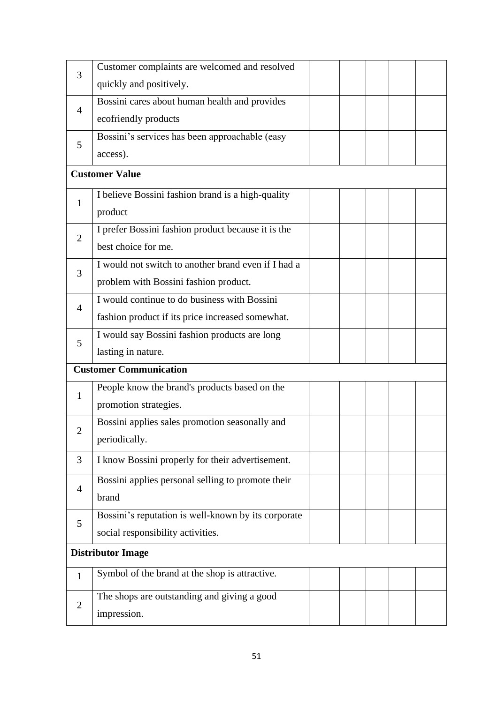| 3                           | Customer complaints are welcomed and resolved       |  |  |  |
|-----------------------------|-----------------------------------------------------|--|--|--|
|                             | quickly and positively.                             |  |  |  |
|                             | Bossini cares about human health and provides       |  |  |  |
| 4                           | ecofriendly products                                |  |  |  |
| 5                           | Bossini's services has been approachable (easy      |  |  |  |
|                             | access).                                            |  |  |  |
|                             | <b>Customer Value</b>                               |  |  |  |
| $\mathbf{1}$                | I believe Bossini fashion brand is a high-quality   |  |  |  |
|                             | product                                             |  |  |  |
| $\overline{2}$              | I prefer Bossini fashion product because it is the  |  |  |  |
|                             | best choice for me.                                 |  |  |  |
| 3                           | I would not switch to another brand even if I had a |  |  |  |
|                             | problem with Bossini fashion product.               |  |  |  |
| $\overline{4}$              | I would continue to do business with Bossini        |  |  |  |
|                             | fashion product if its price increased somewhat.    |  |  |  |
| 5                           | I would say Bossini fashion products are long       |  |  |  |
|                             | lasting in nature.                                  |  |  |  |
|                             | <b>Customer Communication</b>                       |  |  |  |
| $\mathbf{1}$                | People know the brand's products based on the       |  |  |  |
|                             | promotion strategies.                               |  |  |  |
| $\mathcal{D}_{\mathcal{A}}$ | Bossini applies sales promotion seasonally and      |  |  |  |
|                             |                                                     |  |  |  |
|                             | periodically.                                       |  |  |  |
| 3                           | I know Bossini properly for their advertisement.    |  |  |  |
|                             | Bossini applies personal selling to promote their   |  |  |  |
| $\overline{4}$              | brand                                               |  |  |  |
|                             | Bossini's reputation is well-known by its corporate |  |  |  |
| 5                           | social responsibility activities.                   |  |  |  |
|                             | <b>Distributor Image</b>                            |  |  |  |
| $\mathbf{1}$                | Symbol of the brand at the shop is attractive.      |  |  |  |
| $\overline{2}$              | The shops are outstanding and giving a good         |  |  |  |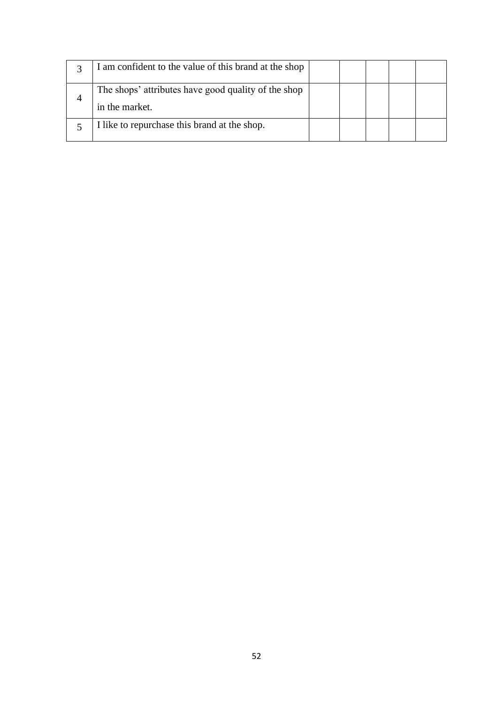|   | I am confident to the value of this brand at the shop                 |  |  |  |
|---|-----------------------------------------------------------------------|--|--|--|
| 4 | The shops' attributes have good quality of the shop<br>in the market. |  |  |  |
|   | I like to repurchase this brand at the shop.                          |  |  |  |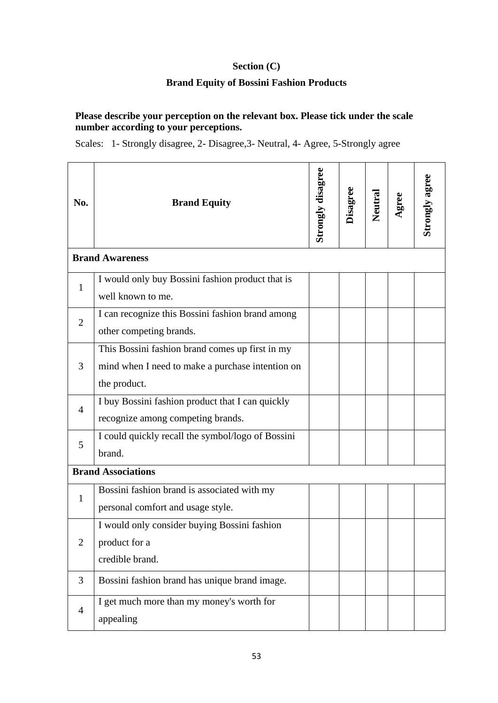## **Section (C)**

### **Brand Equity of Bossini Fashion Products**

### **Please describe your perception on the relevant box. Please tick under the scale number according to your perceptions.**

Scales: 1- Strongly disagree, 2- Disagree,3- Neutral, 4- Agree, 5-Strongly agree

| No.            | <b>Brand Equity</b>                               | Strongly disagree | <b>Disagree</b> | Neutral | Agree | Strongly agree |
|----------------|---------------------------------------------------|-------------------|-----------------|---------|-------|----------------|
|                | <b>Brand Awareness</b>                            |                   |                 |         |       |                |
| $\mathbf{1}$   | I would only buy Bossini fashion product that is  |                   |                 |         |       |                |
|                | well known to me.                                 |                   |                 |         |       |                |
| $\overline{2}$ | I can recognize this Bossini fashion brand among  |                   |                 |         |       |                |
|                | other competing brands.                           |                   |                 |         |       |                |
|                | This Bossini fashion brand comes up first in my   |                   |                 |         |       |                |
| 3              | mind when I need to make a purchase intention on  |                   |                 |         |       |                |
|                | the product.                                      |                   |                 |         |       |                |
| $\overline{4}$ | I buy Bossini fashion product that I can quickly  |                   |                 |         |       |                |
|                | recognize among competing brands.                 |                   |                 |         |       |                |
| 5              | I could quickly recall the symbol/logo of Bossini |                   |                 |         |       |                |
|                | brand.                                            |                   |                 |         |       |                |
|                | <b>Brand Associations</b>                         |                   |                 |         |       |                |
| 1              | Bossini fashion brand is associated with my       |                   |                 |         |       |                |
|                | personal comfort and usage style.                 |                   |                 |         |       |                |
|                | I would only consider buying Bossini fashion      |                   |                 |         |       |                |
| $\overline{2}$ | product for a                                     |                   |                 |         |       |                |
|                | credible brand.                                   |                   |                 |         |       |                |
| 3              | Bossini fashion brand has unique brand image.     |                   |                 |         |       |                |
| $\overline{4}$ | I get much more than my money's worth for         |                   |                 |         |       |                |
|                | appealing                                         |                   |                 |         |       |                |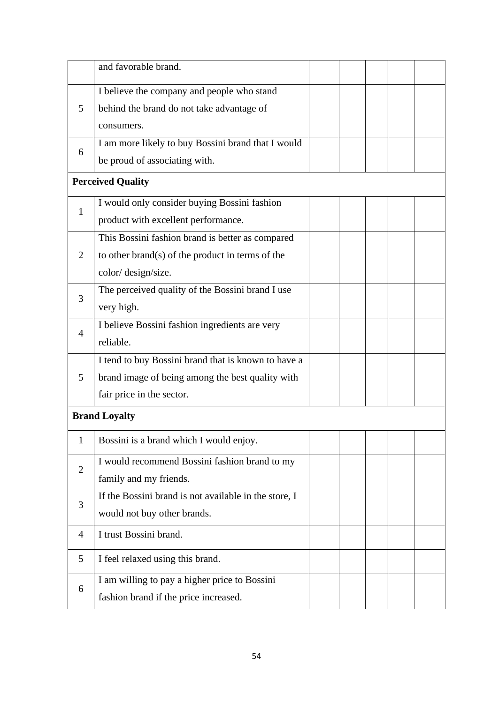|                | and favorable brand.                                  |  |  |  |
|----------------|-------------------------------------------------------|--|--|--|
|                | I believe the company and people who stand            |  |  |  |
| 5              | behind the brand do not take advantage of             |  |  |  |
|                | consumers.                                            |  |  |  |
| 6              | I am more likely to buy Bossini brand that I would    |  |  |  |
|                | be proud of associating with.                         |  |  |  |
|                | <b>Perceived Quality</b>                              |  |  |  |
| 1              | I would only consider buying Bossini fashion          |  |  |  |
|                | product with excellent performance.                   |  |  |  |
|                | This Bossini fashion brand is better as compared      |  |  |  |
| $\overline{2}$ | to other brand(s) of the product in terms of the      |  |  |  |
|                | color/design/size.                                    |  |  |  |
| 3              | The perceived quality of the Bossini brand $I$ use    |  |  |  |
|                | very high.                                            |  |  |  |
| $\overline{4}$ | I believe Bossini fashion ingredients are very        |  |  |  |
|                | reliable.                                             |  |  |  |
|                | I tend to buy Bossini brand that is known to have a   |  |  |  |
| 5              | brand image of being among the best quality with      |  |  |  |
|                | fair price in the sector.                             |  |  |  |
|                | <b>Brand Loyalty</b>                                  |  |  |  |
| 1              | Bossini is a brand which I would enjoy.               |  |  |  |
| $\overline{2}$ | I would recommend Bossini fashion brand to my         |  |  |  |
|                | family and my friends.                                |  |  |  |
| 3              | If the Bossini brand is not available in the store, I |  |  |  |
|                | would not buy other brands.                           |  |  |  |
| $\overline{4}$ | I trust Bossini brand.                                |  |  |  |
| 5              | I feel relaxed using this brand.                      |  |  |  |
| 6              | I am willing to pay a higher price to Bossini         |  |  |  |
|                | fashion brand if the price increased.                 |  |  |  |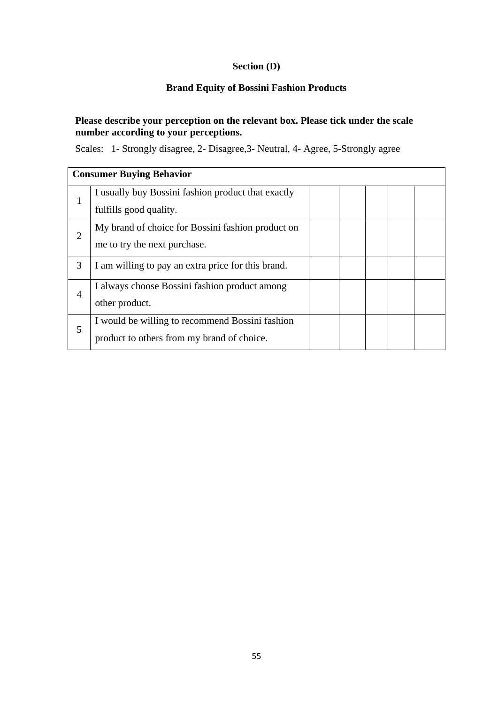## **Section (D)**

## **Brand Equity of Bossini Fashion Products**

### **Please describe your perception on the relevant box. Please tick under the scale number according to your perceptions.**

Scales: 1- Strongly disagree, 2- Disagree,3- Neutral, 4- Agree, 5-Strongly agree

|   | <b>Consumer Buying Behavior</b>                    |  |  |  |
|---|----------------------------------------------------|--|--|--|
|   | I usually buy Bossini fashion product that exactly |  |  |  |
|   | fulfills good quality.                             |  |  |  |
| 2 | My brand of choice for Bossini fashion product on  |  |  |  |
|   | me to try the next purchase.                       |  |  |  |
| 3 | I am willing to pay an extra price for this brand. |  |  |  |
| 4 | I always choose Bossini fashion product among      |  |  |  |
|   | other product.                                     |  |  |  |
| 5 | I would be willing to recommend Bossini fashion    |  |  |  |
|   | product to others from my brand of choice.         |  |  |  |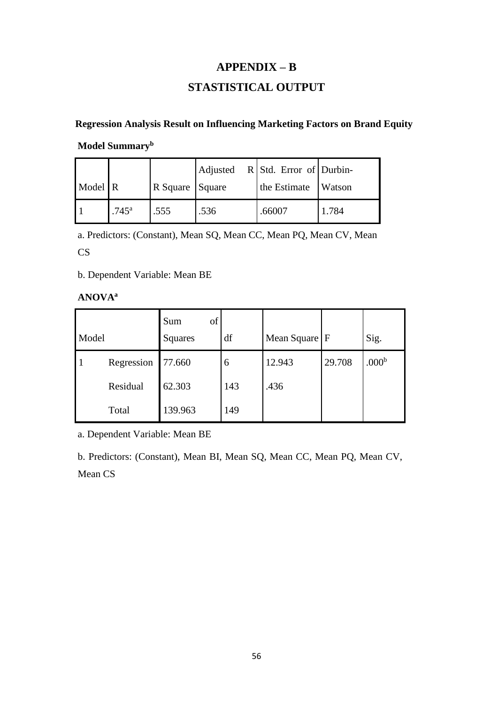## **APPENDIX – B**

## **STASTISTICAL OUTPUT**

### **Regression Analysis Result on Influencing Marketing Factors on Brand Equity**

**Model Summary<sup>b</sup>**

|         |                     |                 |      | Adjusted R Std. Error of Durbin- |               |
|---------|---------------------|-----------------|------|----------------------------------|---------------|
| Model R |                     | R Square Square |      | the Estimate                     | <b>Watson</b> |
|         | $.745$ <sup>a</sup> | .555            | .536 | .66007                           | 1.784         |

a. Predictors: (Constant), Mean SQ, Mean CC, Mean PQ, Mean CV, Mean

CS

b. Dependent Variable: Mean BE

#### **ANOVA<sup>a</sup>**

| Model |            | of<br>Sum<br>Squares | df  | Mean Square F |        | Sig.              |
|-------|------------|----------------------|-----|---------------|--------|-------------------|
|       | Regression | 77.660               | 6   | 12.943        | 29.708 | .000 <sup>b</sup> |
|       | Residual   | 62.303               | 143 | .436          |        |                   |
|       | Total      | 139.963              | 149 |               |        |                   |

a. Dependent Variable: Mean BE

b. Predictors: (Constant), Mean BI, Mean SQ, Mean CC, Mean PQ, Mean CV, Mean CS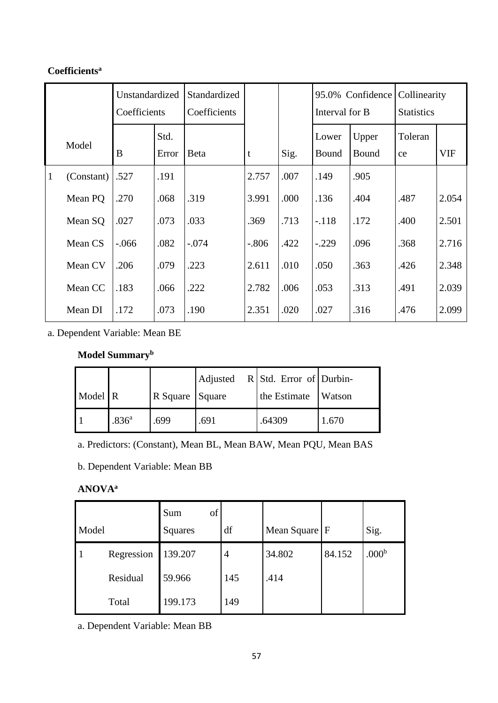## **Coefficients<sup>a</sup>**

|              |            | Unstandardized<br>Coefficients |               | Standardized<br>Coefficients |         |      | Interval for B | 95.0% Confidence | Collinearity<br><b>Statistics</b> |            |
|--------------|------------|--------------------------------|---------------|------------------------------|---------|------|----------------|------------------|-----------------------------------|------------|
|              | Model      | B                              | Std.<br>Error | <b>Beta</b>                  | t       | Sig. | Lower<br>Bound | Upper<br>Bound   | Toleran<br>ce                     | <b>VIF</b> |
| $\mathbf{1}$ | (Constant) | .527                           | .191          |                              | 2.757   | .007 | .149           | .905             |                                   |            |
|              | Mean PQ    | .270                           | .068          | .319                         | 3.991   | .000 | .136           | .404             | .487                              | 2.054      |
|              | Mean SQ    | .027                           | .073          | .033                         | .369    | .713 | $-.118$        | .172             | .400                              | 2.501      |
|              | Mean CS    | $-.066$                        | .082          | $-.074$                      | $-.806$ | .422 | $-.229$        | .096             | .368                              | 2.716      |
|              | Mean CV    | .206                           | .079          | .223                         | 2.611   | .010 | .050           | .363             | .426                              | 2.348      |
|              | Mean CC    | .183                           | .066          | .222                         | 2.782   | .006 | .053           | .313             | .491                              | 2.039      |
|              | Mean DI    | .172                           | .073          | .190                         | 2.351   | .020 | .027           | .316             | .476                              | 2.099      |

a. Dependent Variable: Mean BE

## **Model Summary<sup>b</sup>**

|                      |                   |                 |      | Adjusted R Std. Error of Durbin- |        |
|----------------------|-------------------|-----------------|------|----------------------------------|--------|
| Model $\overline{R}$ |                   | R Square Square |      | the Estimate                     | Watson |
|                      | .836 <sup>a</sup> | .699            | .691 | .64309                           | 1.670  |

a. Predictors: (Constant), Mean BL, Mean BAW, Mean PQU, Mean BAS

b. Dependent Variable: Mean BB

## **ANOVA<sup>a</sup>**

| Model |            | of<br>Sum<br>Squares | df  | Mean Square F |        | Sig.              |
|-------|------------|----------------------|-----|---------------|--------|-------------------|
|       | Regression | 139.207              | 4   | 34.802        | 84.152 | .000 <sup>b</sup> |
|       | Residual   | 59.966               | 145 | .414          |        |                   |
|       | Total      | 199.173              | 149 |               |        |                   |

a. Dependent Variable: Mean BB